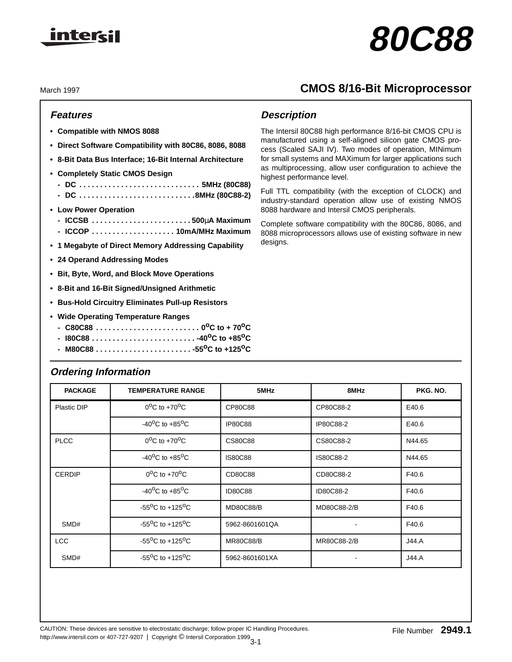

#### March 1997

#### **Features**

- **Compatible with NMOS 8088**
- **Direct Software Compatibility with 80C86, 8086, 8088**
- **8-Bit Data Bus Interface; 16-Bit Internal Architecture**
- **Completely Static CMOS Design**
	- **DC . . . . . . . . . . . . . . . . . . . . . . . . . . . . . 5MHz (80C88)**
	- **DC . . . . . . . . . . . . . . . . . . . . . . . . . . . .8MHz (80C88-2)**
- **Low Power Operation**
	- **ICCSB . . . . . . . . . . . . . . . . . . . . . . . . 500**µ**A Maximum**
	- **ICCOP . . . . . . . . . . . . . . . . . . . . 10mA/MHz Maximum**
- **1 Megabyte of Direct Memory Addressing Capability**
- **24 Operand Addressing Modes**
- **Bit, Byte, Word, and Block Move Operations**
- **8-Bit and 16-Bit Signed/Unsigned Arithmetic**
- **Bus-Hold Circuitry Eliminates Pull-up Resistors**
- **Wide Operating Temperature Ranges**
	- **C80C88 . . . . . . . . . . . . . . . . . . . . . . . . . 0oC to + 70oC**
	- **I80C88 . . . . . . . . . . . . . . . . . . . . . . . . . -40oC to +85oC**
	- **M80C88 . . . . . . . . . . . . . . . . . . . . . . . -55oC to +125oC**

# **Ordering Information**

# **Description**

The Intersil 80C88 high performance 8/16-bit CMOS CPU is manufactured using a self-aligned silicon gate CMOS process (Scaled SAJI IV). Two modes of operation, MINimum for small systems and MAXimum for larger applications such as multiprocessing, allow user configuration to achieve the highest performance level.

**CMOS 8/16-Bit Microprocessor**

Full TTL compatibility (with the exception of CLOCK) and industry-standard operation allow use of existing NMOS 8088 hardware and Intersil CMOS peripherals.

Complete software compatibility with the 80C86, 8086, and 8088 microprocessors allows use of existing software in new designs.

| <b>PACKAGE</b> | <b>TEMPERATURE RANGE</b>            | 5MHz             | 8MHz        | PKG. NO. |
|----------------|-------------------------------------|------------------|-------------|----------|
| Plastic DIP    | $0^{\circ}$ C to $+70^{\circ}$ C    | CP80C88          | CP80C88-2   | E40.6    |
|                | $-40^{\circ}$ C to $+85^{\circ}$ C  | <b>IP80C88</b>   | IP80C88-2   | E40.6    |
| <b>PLCC</b>    | $0^{\circ}$ C to +70 $^{\circ}$ C   | CS80C88          | CS80C88-2   | N44.65   |
|                | $-40^{\circ}$ C to $+85^{\circ}$ C  | <b>IS80C88</b>   | IS80C88-2   | N44.65   |
| <b>CERDIP</b>  | $0^{\circ}$ C to +70 $^{\circ}$ C   | CD80C88          | CD80C88-2   | F40.6    |
|                | $-40^{\circ}$ C to $+85^{\circ}$ C  | <b>ID80C88</b>   | ID80C88-2   | F40.6    |
|                | $-55^{\circ}$ C to $+125^{\circ}$ C | <b>MD80C88/B</b> | MD80C88-2/B | F40.6    |
| SMD#           | $-55^{\circ}$ C to $+125^{\circ}$ C | 5962-8601601QA   |             | F40.6    |
| <b>LCC</b>     | $-55^{\circ}$ C to $+125^{\circ}$ C | <b>MR80C88/B</b> | MR80C88-2/B | J44.A    |
| SMD#           | $-55^{\circ}$ C to $+125^{\circ}$ C | 5962-8601601XA   |             | J44.A    |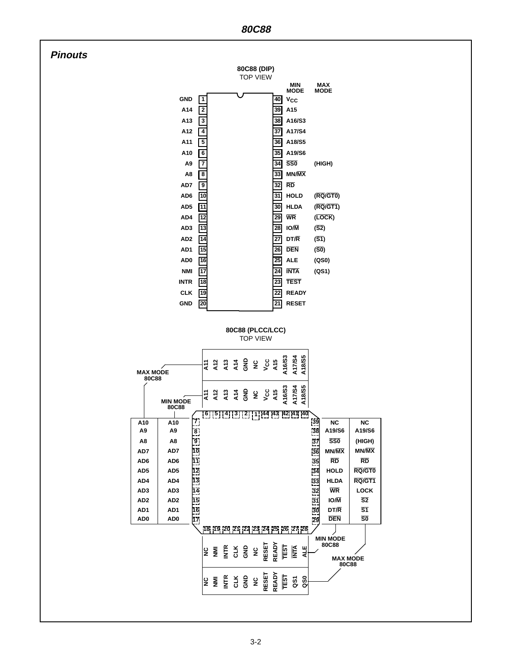#### **Pinouts**

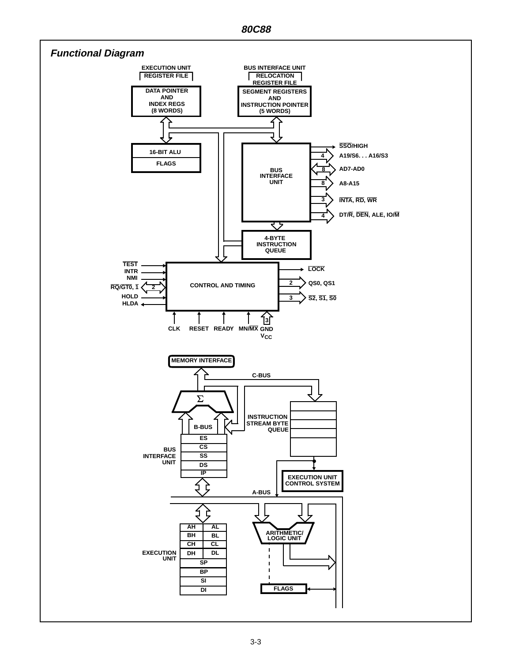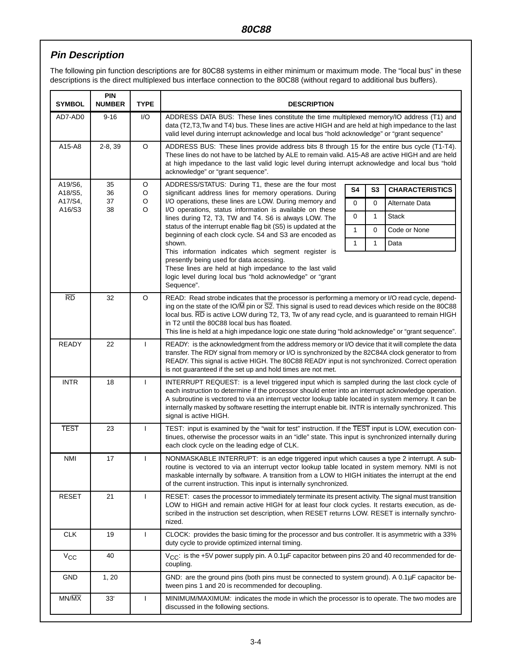# **Pin Description**

The following pin function descriptions are for 80C88 systems in either minimum or maximum mode. The "local bus" in these descriptions is the direct multiplexed bus interface connection to the 80C88 (without regard to additional bus buffers).

| <b>SYMBOL</b>      | <b>PIN</b><br><b>NUMBER</b> | <b>TYPE</b>              | <b>DESCRIPTION</b>                                                                                                                                                                                                                                                                                                                                                                                                                                                                                 |              |              |                        |  |  |
|--------------------|-----------------------------|--------------------------|----------------------------------------------------------------------------------------------------------------------------------------------------------------------------------------------------------------------------------------------------------------------------------------------------------------------------------------------------------------------------------------------------------------------------------------------------------------------------------------------------|--------------|--------------|------------------------|--|--|
| AD7-AD0            | $9 - 16$                    | I/O                      | ADDRESS DATA BUS: These lines constitute the time multiplexed memory/IO address (T1) and<br>data (T2,T3,Tw and T4) bus. These lines are active HIGH and are held at high impedance to the last<br>valid level during interrupt acknowledge and local bus "hold acknowledge" or "grant sequence"                                                                                                                                                                                                    |              |              |                        |  |  |
| A15-A8             | $2-8, 39$                   | O                        | ADDRESS BUS: These lines provide address bits 8 through 15 for the entire bus cycle (T1-T4).<br>These lines do not have to be latched by ALE to remain valid. A15-A8 are active HIGH and are held<br>at high impedance to the last valid logic level during interrupt acknowledge and local bus "hold<br>acknowledge" or "grant sequence".                                                                                                                                                         |              |              |                        |  |  |
| A19/S6,<br>A18/S5, | 35<br>36                    | O<br>O                   | ADDRESS/STATUS: During T1, these are the four most<br>significant address lines for memory operations. During                                                                                                                                                                                                                                                                                                                                                                                      | <b>S4</b>    | S3           | <b>CHARACTERISTICS</b> |  |  |
| A17/S4,<br>A16/S3  | 37<br>38                    | O<br>O                   | I/O operations, these lines are LOW. During memory and<br>I/O operations, status information is available on these                                                                                                                                                                                                                                                                                                                                                                                 | $\mathbf 0$  | 0            | Alternate Data         |  |  |
|                    |                             |                          | lines during T2, T3, TW and T4. S6 is always LOW. The                                                                                                                                                                                                                                                                                                                                                                                                                                              | 0            | $\mathbf{1}$ | <b>Stack</b>           |  |  |
|                    |                             |                          | status of the interrupt enable flag bit (S5) is updated at the<br>beginning of each clock cycle. S4 and S3 are encoded as                                                                                                                                                                                                                                                                                                                                                                          | $\mathbf{1}$ | 0            | Code or None           |  |  |
|                    |                             |                          | shown.                                                                                                                                                                                                                                                                                                                                                                                                                                                                                             | $\mathbf{1}$ | 1            | Data                   |  |  |
|                    |                             |                          | This information indicates which segment register is<br>presently being used for data accessing.<br>These lines are held at high impedance to the last valid<br>logic level during local bus "hold acknowledge" or "grant<br>Sequence".                                                                                                                                                                                                                                                            |              |              |                        |  |  |
| RD                 | 32                          | O                        | READ: Read strobe indicates that the processor is performing a memory or I/O read cycle, depend-<br>ing on the state of the IO/ $\overline{M}$ pin or $\overline{S2}$ . This signal is used to read devices which reside on the 80C88<br>local bus. RD is active LOW during T2, T3, Tw of any read cycle, and is guaranteed to remain HIGH<br>in T2 until the 80C88 local bus has floated.<br>This line is held at a high impedance logic one state during "hold acknowledge" or "grant sequence". |              |              |                        |  |  |
| <b>READY</b>       | 22                          | $\mathbf{I}$             | READY: is the acknowledgment from the address memory or I/O device that it will complete the data<br>transfer. The RDY signal from memory or I/O is synchronized by the 82C84A clock generator to from<br>READY. This signal is active HIGH. The 80C88 READY input is not synchronized. Correct operation<br>is not guaranteed if the set up and hold times are not met.                                                                                                                           |              |              |                        |  |  |
| <b>INTR</b>        | 18                          | <sup>1</sup>             | INTERRUPT REQUEST: is a level triggered input which is sampled during the last clock cycle of<br>each instruction to determine if the processor should enter into an interrupt acknowledge operation.<br>A subroutine is vectored to via an interrupt vector lookup table located in system memory. It can be<br>internally masked by software resetting the interrupt enable bit. INTR is internally synchronized. This<br>signal is active HIGH.                                                 |              |              |                        |  |  |
| <b>TEST</b>        | 23                          | $\mathbf{I}$             | TEST: input is examined by the "wait for test" instruction. If the $\overline{\text{TEST}}$ input is LOW, execution con-<br>tinues, otherwise the processor waits in an "idle" state. This input is synchronized internally during<br>each clock cycle on the leading edge of CLK.                                                                                                                                                                                                                 |              |              |                        |  |  |
| <b>NMI</b>         | 17                          | <sup>1</sup>             | NONMASKABLE INTERRUPT: is an edge triggered input which causes a type 2 interrupt. A sub-<br>routine is vectored to via an interrupt vector lookup table located in system memory. NMI is not<br>maskable internally by software. A transition from a LOW to HIGH initiates the interrupt at the end<br>of the current instruction. This input is internally synchronized.                                                                                                                         |              |              |                        |  |  |
| <b>RESET</b>       | 21                          | $\overline{\phantom{a}}$ | RESET: cases the processor to immediately terminate its present activity. The signal must transition<br>LOW to HIGH and remain active HIGH for at least four clock cycles. It restarts execution, as de-<br>scribed in the instruction set description, when RESET returns LOW. RESET is internally synchro-<br>nized.                                                                                                                                                                             |              |              |                        |  |  |
| <b>CLK</b>         | 19                          | $\mathbf{I}$             | CLOCK: provides the basic timing for the processor and bus controller. It is asymmetric with a 33%<br>duty cycle to provide optimized internal timing.                                                                                                                                                                                                                                                                                                                                             |              |              |                        |  |  |
| $V_{CC}$           | 40                          |                          | V <sub>CC</sub> : is the +5V power supply pin. A 0.1µF capacitor between pins 20 and 40 recommended for de-<br>coupling.                                                                                                                                                                                                                                                                                                                                                                           |              |              |                        |  |  |
| <b>GND</b>         | 1, 20                       |                          | GND: are the ground pins (both pins must be connected to system ground). A 0.1µF capacitor be-<br>tween pins 1 and 20 is recommended for decoupling.                                                                                                                                                                                                                                                                                                                                               |              |              |                        |  |  |
| $MN/\overline{MX}$ | 33 <sup>′</sup>             | J.                       | MINIMUM/MAXIMUM: indicates the mode in which the processor is to operate. The two modes are<br>discussed in the following sections.                                                                                                                                                                                                                                                                                                                                                                |              |              |                        |  |  |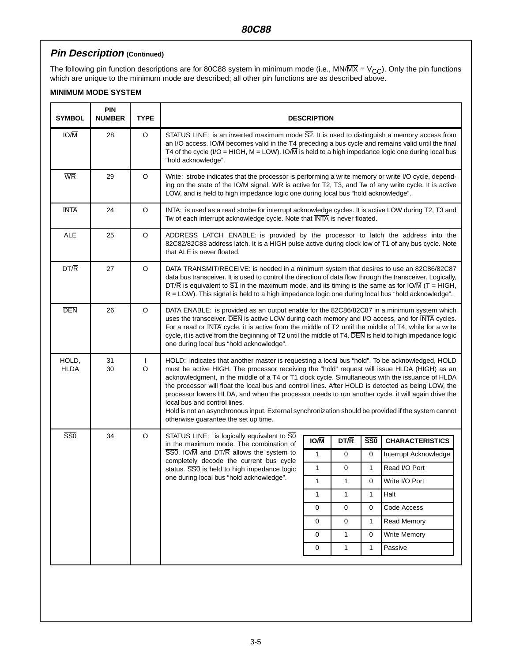# **Pin Description (Continued)**

The following pin function descriptions are for 80C88 system in minimum mode (i.e., MN/MX = V<sub>CC</sub>). Only the pin functions which are unique to the minimum mode are described; all other pin functions are as described above.

#### **MINIMUM MODE SYSTEM**

| <b>SYMBOL</b>        | <b>PIN</b><br><b>NUMBER</b> | <b>TYPE</b>             |                                                                                                                                                                                                                                                                                                                                                                                                                                                                                                                                                                                                                                                                                             | <b>DESCRIPTION</b>                                                                                                                                                                                                                                                                                              |              |                         |                        |  |  |
|----------------------|-----------------------------|-------------------------|---------------------------------------------------------------------------------------------------------------------------------------------------------------------------------------------------------------------------------------------------------------------------------------------------------------------------------------------------------------------------------------------------------------------------------------------------------------------------------------------------------------------------------------------------------------------------------------------------------------------------------------------------------------------------------------------|-----------------------------------------------------------------------------------------------------------------------------------------------------------------------------------------------------------------------------------------------------------------------------------------------------------------|--------------|-------------------------|------------------------|--|--|
| $IO/\overline{M}$    | 28                          | O                       | STATUS LINE: is an inverted maximum mode $\overline{S2}$ . It is used to distinguish a memory access from<br>an I/O access. IO/M becomes valid in the T4 preceding a bus cycle and remains valid until the final<br>T4 of the cycle (I/O = HIGH, $M = LOW$ ). IO/ $\overline{M}$ is held to a high impedance logic one during local bus<br>"hold acknowledge".                                                                                                                                                                                                                                                                                                                              |                                                                                                                                                                                                                                                                                                                 |              |                         |                        |  |  |
| <b>WR</b>            | 29                          | O                       |                                                                                                                                                                                                                                                                                                                                                                                                                                                                                                                                                                                                                                                                                             | Write: strobe indicates that the processor is performing a write memory or write I/O cycle, depend-<br>ing on the state of the IO/ $\overline{M}$ signal. WR is active for T2, T3, and Tw of any write cycle. It is active<br>LOW, and is held to high impedance logic one during local bus "hold acknowledge". |              |                         |                        |  |  |
| <b>INTA</b>          | 24                          | O                       | INTA: is used as a read strobe for interrupt acknowledge cycles. It is active LOW during T2, T3 and<br>Tw of each interrupt acknowledge cycle. Note that INTA is never floated.                                                                                                                                                                                                                                                                                                                                                                                                                                                                                                             |                                                                                                                                                                                                                                                                                                                 |              |                         |                        |  |  |
| <b>ALE</b>           | 25                          | O                       | ADDRESS LATCH ENABLE: is provided by the processor to latch the address into the<br>82C82/82C83 address latch. It is a HIGH pulse active during clock low of T1 of any bus cycle. Note<br>that ALE is never floated.                                                                                                                                                                                                                                                                                                                                                                                                                                                                        |                                                                                                                                                                                                                                                                                                                 |              |                         |                        |  |  |
| DT/R                 | 27                          | $\circ$                 | DATA TRANSMIT/RECEIVE: is needed in a minimum system that desires to use an 82C86/82C87<br>data bus transceiver. It is used to control the direction of data flow through the transceiver. Logically,<br>DT/R is equivalent to $\overline{S1}$ in the maximum mode, and its timing is the same as for IO/M (T = HIGH,<br>R = LOW). This signal is held to a high impedance logic one during local bus "hold acknowledge".                                                                                                                                                                                                                                                                   |                                                                                                                                                                                                                                                                                                                 |              |                         |                        |  |  |
| <b>DEN</b>           | 26                          | O                       | DATA ENABLE: is provided as an output enable for the 82C86/82C87 in a minimum system which<br>uses the transceiver. DEN is active LOW during each memory and I/O access, and for INTA cycles.<br>For a read or INTA cycle, it is active from the middle of T2 until the middle of T4, while for a write<br>cycle, it is active from the beginning of T2 until the middle of T4. DEN is held to high impedance logic<br>one during local bus "hold acknowledge".                                                                                                                                                                                                                             |                                                                                                                                                                                                                                                                                                                 |              |                         |                        |  |  |
| HOLD,<br><b>HLDA</b> | 31<br>30                    | $\mathbf{I}$<br>$\circ$ | HOLD: indicates that another master is requesting a local bus "hold". To be acknowledged, HOLD<br>must be active HIGH. The processor receiving the "hold" request will issue HLDA (HIGH) as an<br>acknowledgment, in the middle of a T4 or T1 clock cycle. Simultaneous with the issuance of HLDA<br>the processor will float the local bus and control lines. After HOLD is detected as being LOW, the<br>processor lowers HLDA, and when the processor needs to run another cycle, it will again drive the<br>local bus and control lines.<br>Hold is not an asynchronous input. External synchronization should be provided if the system cannot<br>otherwise guarantee the set up time. |                                                                                                                                                                                                                                                                                                                 |              |                         |                        |  |  |
| <b>SS0</b>           | 34                          | O                       | STATUS LINE: is logically equivalent to $\overline{SO}$<br>in the maximum mode. The combination of                                                                                                                                                                                                                                                                                                                                                                                                                                                                                                                                                                                          | $IO/\overline{M}$                                                                                                                                                                                                                                                                                               | DT/R         | $\overline{\text{SS0}}$ | <b>CHARACTERISTICS</b> |  |  |
|                      |                             |                         | $\overline{SS0}$ , IO/M and DT/R allows the system to                                                                                                                                                                                                                                                                                                                                                                                                                                                                                                                                                                                                                                       | $\mathbf{1}$                                                                                                                                                                                                                                                                                                    | 0            | 0                       | Interrupt Acknowledge  |  |  |
|                      |                             |                         | completely decode the current bus cycle<br>status. SSO is held to high impedance logic                                                                                                                                                                                                                                                                                                                                                                                                                                                                                                                                                                                                      | $\mathbf{1}$                                                                                                                                                                                                                                                                                                    | 0            | $\mathbf{1}$            | Read I/O Port          |  |  |
|                      |                             |                         | one during local bus "hold acknowledge".                                                                                                                                                                                                                                                                                                                                                                                                                                                                                                                                                                                                                                                    | 1                                                                                                                                                                                                                                                                                                               | 1            | 0                       | Write I/O Port         |  |  |
|                      |                             |                         |                                                                                                                                                                                                                                                                                                                                                                                                                                                                                                                                                                                                                                                                                             | $\mathbf{1}$                                                                                                                                                                                                                                                                                                    | $\mathbf{1}$ | $\mathbf{1}$            | Halt                   |  |  |
|                      |                             |                         |                                                                                                                                                                                                                                                                                                                                                                                                                                                                                                                                                                                                                                                                                             | $\mathbf 0$                                                                                                                                                                                                                                                                                                     | 0            | $\mathbf 0$             | Code Access            |  |  |
|                      |                             |                         |                                                                                                                                                                                                                                                                                                                                                                                                                                                                                                                                                                                                                                                                                             | 0                                                                                                                                                                                                                                                                                                               | 0            | $\mathbf{1}$            | Read Memory            |  |  |
|                      |                             |                         | $\mathbf{1}$<br>Write Memory<br>0<br>0                                                                                                                                                                                                                                                                                                                                                                                                                                                                                                                                                                                                                                                      |                                                                                                                                                                                                                                                                                                                 |              |                         |                        |  |  |
|                      |                             |                         |                                                                                                                                                                                                                                                                                                                                                                                                                                                                                                                                                                                                                                                                                             | $\mathbf 0$                                                                                                                                                                                                                                                                                                     | $\mathbf{1}$ | $\mathbf{1}$            | Passive                |  |  |
|                      |                             |                         |                                                                                                                                                                                                                                                                                                                                                                                                                                                                                                                                                                                                                                                                                             |                                                                                                                                                                                                                                                                                                                 |              |                         |                        |  |  |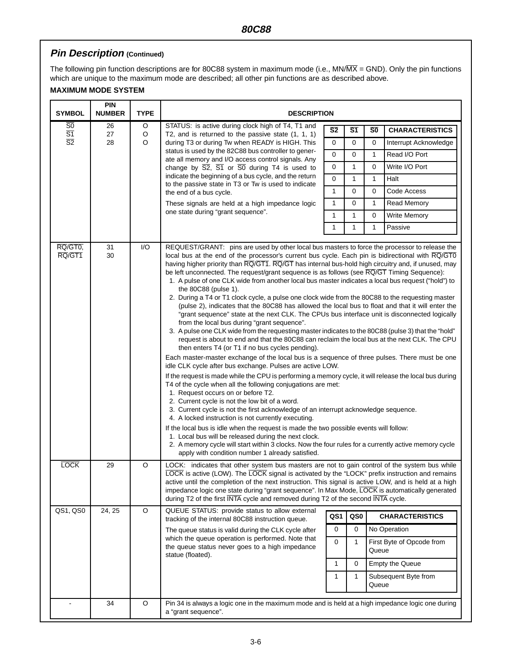# **Pin Description (Continued)**

The following pin function descriptions are for 80C88 system in maximum mode (i.e., MN/MX = GND). Only the pin functions which are unique to the maximum mode are described; all other pin functions are as described above.

#### **MAXIMUM MODE SYSTEM**

| <b>SYMBOL</b>                                           | <b>PIN</b><br><b>NUMBER</b> | <b>TYPE</b>            | <b>DESCRIPTION</b>                                                                                                                                                                                                                                                                                                                                                                                                                                                                                                                                                                                                                                                                                                                                                                                                                                                                                                                                                                                                                                                                                                                                                                                                                                                                                                                                                                                                                                                                                                                                                                                                                                                                                                                                                                                                                                                                                                                                                                                |                          |                 |                 |                           |  |  |
|---------------------------------------------------------|-----------------------------|------------------------|---------------------------------------------------------------------------------------------------------------------------------------------------------------------------------------------------------------------------------------------------------------------------------------------------------------------------------------------------------------------------------------------------------------------------------------------------------------------------------------------------------------------------------------------------------------------------------------------------------------------------------------------------------------------------------------------------------------------------------------------------------------------------------------------------------------------------------------------------------------------------------------------------------------------------------------------------------------------------------------------------------------------------------------------------------------------------------------------------------------------------------------------------------------------------------------------------------------------------------------------------------------------------------------------------------------------------------------------------------------------------------------------------------------------------------------------------------------------------------------------------------------------------------------------------------------------------------------------------------------------------------------------------------------------------------------------------------------------------------------------------------------------------------------------------------------------------------------------------------------------------------------------------------------------------------------------------------------------------------------------------|--------------------------|-----------------|-----------------|---------------------------|--|--|
| $\overline{50}$                                         | 26                          | $\circ$                | STATUS: is active during clock high of T4, T1 and                                                                                                                                                                                                                                                                                                                                                                                                                                                                                                                                                                                                                                                                                                                                                                                                                                                                                                                                                                                                                                                                                                                                                                                                                                                                                                                                                                                                                                                                                                                                                                                                                                                                                                                                                                                                                                                                                                                                                 | $\overline{\mathsf{S2}}$ | $\overline{S1}$ | $\overline{50}$ | <b>CHARACTERISTICS</b>    |  |  |
| $\overline{S1}$<br>$\overline{S2}$                      | 27<br>28                    | $\mathsf O$<br>$\circ$ | T2, and is returned to the passive state $(1, 1, 1)$<br>during T3 or during Tw when READY is HIGH. This                                                                                                                                                                                                                                                                                                                                                                                                                                                                                                                                                                                                                                                                                                                                                                                                                                                                                                                                                                                                                                                                                                                                                                                                                                                                                                                                                                                                                                                                                                                                                                                                                                                                                                                                                                                                                                                                                           | 0                        | 0               | 0               | Interrupt Acknowledge     |  |  |
|                                                         |                             |                        | status is used by the 82C88 bus controller to gener-<br>ate all memory and I/O access control signals. Any                                                                                                                                                                                                                                                                                                                                                                                                                                                                                                                                                                                                                                                                                                                                                                                                                                                                                                                                                                                                                                                                                                                                                                                                                                                                                                                                                                                                                                                                                                                                                                                                                                                                                                                                                                                                                                                                                        | 0                        | 0               | 1               | Read I/O Port             |  |  |
|                                                         |                             |                        | change by $\overline{S2}$ , $\overline{S1}$ or $\overline{S0}$ during T4 is used to                                                                                                                                                                                                                                                                                                                                                                                                                                                                                                                                                                                                                                                                                                                                                                                                                                                                                                                                                                                                                                                                                                                                                                                                                                                                                                                                                                                                                                                                                                                                                                                                                                                                                                                                                                                                                                                                                                               | 0                        | $\mathbf{1}$    | 0               | Write I/O Port            |  |  |
|                                                         |                             |                        | indicate the beginning of a bus cycle, and the return                                                                                                                                                                                                                                                                                                                                                                                                                                                                                                                                                                                                                                                                                                                                                                                                                                                                                                                                                                                                                                                                                                                                                                                                                                                                                                                                                                                                                                                                                                                                                                                                                                                                                                                                                                                                                                                                                                                                             | $\mathbf 0$              | 1               | $\mathbf{1}$    | Halt                      |  |  |
|                                                         |                             |                        | to the passive state in T3 or Tw is used to indicate<br>the end of a bus cycle.                                                                                                                                                                                                                                                                                                                                                                                                                                                                                                                                                                                                                                                                                                                                                                                                                                                                                                                                                                                                                                                                                                                                                                                                                                                                                                                                                                                                                                                                                                                                                                                                                                                                                                                                                                                                                                                                                                                   | 1                        | 0               | 0               | Code Access               |  |  |
|                                                         |                             |                        | These signals are held at a high impedance logic                                                                                                                                                                                                                                                                                                                                                                                                                                                                                                                                                                                                                                                                                                                                                                                                                                                                                                                                                                                                                                                                                                                                                                                                                                                                                                                                                                                                                                                                                                                                                                                                                                                                                                                                                                                                                                                                                                                                                  | 1                        | 0               | 1               | <b>Read Memory</b>        |  |  |
|                                                         |                             |                        | one state during "grant sequence".                                                                                                                                                                                                                                                                                                                                                                                                                                                                                                                                                                                                                                                                                                                                                                                                                                                                                                                                                                                                                                                                                                                                                                                                                                                                                                                                                                                                                                                                                                                                                                                                                                                                                                                                                                                                                                                                                                                                                                | 1                        | 1               | 0               | Write Memory              |  |  |
|                                                         |                             |                        |                                                                                                                                                                                                                                                                                                                                                                                                                                                                                                                                                                                                                                                                                                                                                                                                                                                                                                                                                                                                                                                                                                                                                                                                                                                                                                                                                                                                                                                                                                                                                                                                                                                                                                                                                                                                                                                                                                                                                                                                   | 1                        | 1               | $\mathbf{1}$    | Passive                   |  |  |
| RQ/GT0,<br>$\overline{\text{RQ}}/\overline{\text{GT1}}$ | 31<br>30                    | I/O                    | REQUEST/GRANT: pins are used by other local bus masters to force the processor to release the<br>local bus at the end of the processor's current bus cycle. Each pin is bidirectional with RQ/GT0<br>having higher priority than RQ/GT1. RQ/GT has internal bus-hold high circuitry and, if unused, may<br>be left unconnected. The request/grant sequence is as follows (see RQ/GT Timing Sequence):<br>1. A pulse of one CLK wide from another local bus master indicates a local bus request ("hold") to<br>the 80C88 (pulse 1).<br>2. During a T4 or T1 clock cycle, a pulse one clock wide from the 80C88 to the requesting master<br>(pulse 2), indicates that the 80C88 has allowed the local bus to float and that it will enter the<br>"grant sequence" state at the next CLK. The CPUs bus interface unit is disconnected logically<br>from the local bus during "grant sequence".<br>3. A pulse one CLK wide from the requesting master indicates to the 80C88 (pulse 3) that the "hold"<br>request is about to end and that the 80C88 can reclaim the local bus at the next CLK. The CPU<br>then enters T4 (or T1 if no bus cycles pending).<br>Each master-master exchange of the local bus is a sequence of three pulses. There must be one<br>idle CLK cycle after bus exchange. Pulses are active LOW.<br>If the request is made while the CPU is performing a memory cycle, it will release the local bus during<br>T4 of the cycle when all the following conjugations are met:<br>1. Request occurs on or before T2.<br>2. Current cycle is not the low bit of a word.<br>3. Current cycle is not the first acknowledge of an interrupt acknowledge sequence.<br>4. A locked instruction is not currently executing.<br>If the local bus is idle when the request is made the two possible events will follow:<br>1. Local bus will be released during the next clock.<br>2. A memory cycle will start within 3 clocks. Now the four rules for a currently active memory cycle |                          |                 |                 |                           |  |  |
| <b>LOCK</b>                                             | 29                          | O                      | apply with condition number 1 already satisfied.<br>LOCK: indicates that other system bus masters are not to gain control of the system bus while<br>LOCK is active (LOW). The LOCK signal is activated by the "LOCK" prefix instruction and remains<br>active until the completion of the next instruction. This signal is active LOW, and is held at a high<br>impedance logic one state during "grant sequence". In Max Mode, LOCK is automatically generated<br>during T2 of the first INTA cycle and removed during T2 of the second INTA cycle.                                                                                                                                                                                                                                                                                                                                                                                                                                                                                                                                                                                                                                                                                                                                                                                                                                                                                                                                                                                                                                                                                                                                                                                                                                                                                                                                                                                                                                             |                          |                 |                 |                           |  |  |
| QS1, QS0                                                | 24, 25                      | O                      | QUEUE STATUS: provide status to allow external<br>tracking of the internal 80C88 instruction queue.                                                                                                                                                                                                                                                                                                                                                                                                                                                                                                                                                                                                                                                                                                                                                                                                                                                                                                                                                                                                                                                                                                                                                                                                                                                                                                                                                                                                                                                                                                                                                                                                                                                                                                                                                                                                                                                                                               | QS1                      | QS0             |                 | <b>CHARACTERISTICS</b>    |  |  |
|                                                         |                             |                        | The queue status is valid during the CLK cycle after                                                                                                                                                                                                                                                                                                                                                                                                                                                                                                                                                                                                                                                                                                                                                                                                                                                                                                                                                                                                                                                                                                                                                                                                                                                                                                                                                                                                                                                                                                                                                                                                                                                                                                                                                                                                                                                                                                                                              | 0                        | 0               |                 | No Operation              |  |  |
|                                                         |                             |                        | which the queue operation is performed. Note that<br>the queue status never goes to a high impedance<br>statue (floated).                                                                                                                                                                                                                                                                                                                                                                                                                                                                                                                                                                                                                                                                                                                                                                                                                                                                                                                                                                                                                                                                                                                                                                                                                                                                                                                                                                                                                                                                                                                                                                                                                                                                                                                                                                                                                                                                         | 0                        | 1               | Queue           | First Byte of Opcode from |  |  |
|                                                         |                             |                        |                                                                                                                                                                                                                                                                                                                                                                                                                                                                                                                                                                                                                                                                                                                                                                                                                                                                                                                                                                                                                                                                                                                                                                                                                                                                                                                                                                                                                                                                                                                                                                                                                                                                                                                                                                                                                                                                                                                                                                                                   | 1                        | 0               |                 | <b>Empty the Queue</b>    |  |  |
|                                                         |                             |                        |                                                                                                                                                                                                                                                                                                                                                                                                                                                                                                                                                                                                                                                                                                                                                                                                                                                                                                                                                                                                                                                                                                                                                                                                                                                                                                                                                                                                                                                                                                                                                                                                                                                                                                                                                                                                                                                                                                                                                                                                   | 1                        | 1               | Queue           | Subsequent Byte from      |  |  |
|                                                         | 34                          | $\circ$                | Pin 34 is always a logic one in the maximum mode and is held at a high impedance logic one during<br>a "grant sequence".                                                                                                                                                                                                                                                                                                                                                                                                                                                                                                                                                                                                                                                                                                                                                                                                                                                                                                                                                                                                                                                                                                                                                                                                                                                                                                                                                                                                                                                                                                                                                                                                                                                                                                                                                                                                                                                                          |                          |                 |                 |                           |  |  |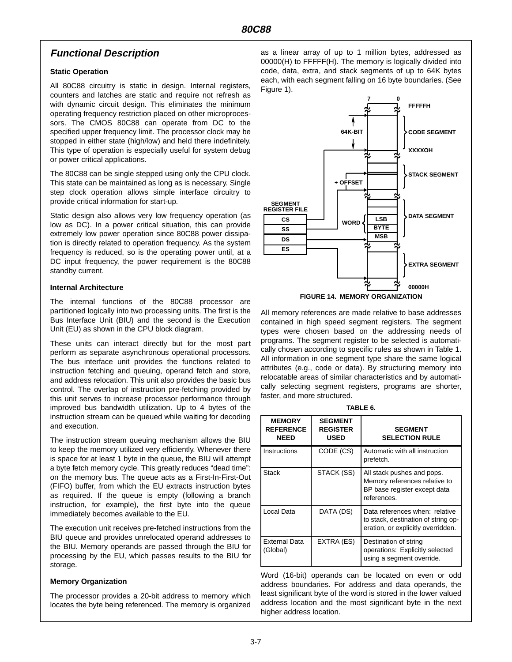## **Functional Description**

#### **Static Operation**

All 80C88 circuitry is static in design. Internal registers, counters and latches are static and require not refresh as with dynamic circuit design. This eliminates the minimum operating frequency restriction placed on other microprocessors. The CMOS 80C88 can operate from DC to the specified upper frequency limit. The processor clock may be stopped in either state (high/low) and held there indefinitely. This type of operation is especially useful for system debug or power critical applications.

The 80C88 can be single stepped using only the CPU clock. This state can be maintained as long as is necessary. Single step clock operation allows simple interface circuitry to provide critical information for start-up.

Static design also allows very low frequency operation (as low as DC). In a power critical situation, this can provide extremely low power operation since 80C88 power dissipation is directly related to operation frequency. As the system frequency is reduced, so is the operating power until, at a DC input frequency, the power requirement is the 80C88 standby current.

#### **Internal Architecture**

The internal functions of the 80C88 processor are partitioned logically into two processing units. The first is the Bus Interface Unit (BIU) and the second is the Execution Unit (EU) as shown in the CPU block diagram.

These units can interact directly but for the most part perform as separate asynchronous operational processors. The bus interface unit provides the functions related to instruction fetching and queuing, operand fetch and store, and address relocation. This unit also provides the basic bus control. The overlap of instruction pre-fetching provided by this unit serves to increase processor performance through improved bus bandwidth utilization. Up to 4 bytes of the instruction stream can be queued while waiting for decoding and execution.

The instruction stream queuing mechanism allows the BIU to keep the memory utilized very efficiently. Whenever there is space for at least 1 byte in the queue, the BIU will attempt a byte fetch memory cycle. This greatly reduces "dead time": on the memory bus. The queue acts as a First-In-First-Out (FIFO) buffer, from which the EU extracts instruction bytes as required. If the queue is empty (following a branch instruction, for example), the first byte into the queue immediately becomes available to the EU.

The execution unit receives pre-fetched instructions from the BIU queue and provides unrelocated operand addresses to the BIU. Memory operands are passed through the BIU for processing by the EU, which passes results to the BIU for storage.

#### **Memory Organization**

The processor provides a 20-bit address to memory which locates the byte being referenced. The memory is organized

as a linear array of up to 1 million bytes, addressed as 00000(H) to FFFFF(H). The memory is logically divided into code, data, extra, and stack segments of up to 64K bytes each, with each segment falling on 16 byte boundaries. (See Figure 1).



All memory references are made relative to base addresses contained in high speed segment registers. The segment types were chosen based on the addressing needs of programs. The segment register to be selected is automatically chosen according to specific rules as shown in Table 1. All information in one segment type share the same logical attributes (e.g., code or data). By structuring memory into relocatable areas of similar characteristics and by automatically selecting segment registers, programs are shorter, faster, and more structured.

**TABLE 6.**

| <b>MEMORY</b><br><b>REFERENCE</b><br><b>NEED</b> | <b>SEGMENT</b><br><b>REGISTER</b><br><b>USED</b> | <b>SEGMENT</b><br><b>SELECTION RULE</b>                                                                     |
|--------------------------------------------------|--------------------------------------------------|-------------------------------------------------------------------------------------------------------------|
| Instructions                                     | CODE (CS)                                        | Automatic with all instruction<br>prefetch.                                                                 |
| <b>Stack</b>                                     | STACK (SS)                                       | All stack pushes and pops.<br>Memory references relative to<br>BP base register except data<br>references.  |
| Local Data                                       | DATA (DS)                                        | Data references when: relative<br>to stack, destination of string op-<br>eration, or explicitly overridden. |
| <b>External Data</b><br>(Global)                 | EXTRA (ES)                                       | Destination of string<br>operations: Explicitly selected<br>using a segment override.                       |

Word (16-bit) operands can be located on even or odd address boundaries. For address and data operands, the least significant byte of the word is stored in the lower valued address location and the most significant byte in the next higher address location.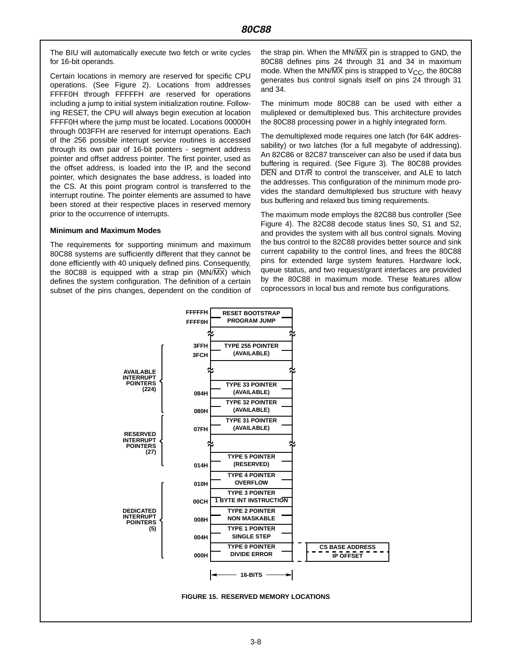The BIU will automatically execute two fetch or write cycles for 16-bit operands.

Certain locations in memory are reserved for specific CPU operations. (See Figure 2). Locations from addresses FFFF0H through FFFFFH are reserved for operations including a jump to initial system initialization routine. Following RESET, the CPU will always begin execution at location FFFF0H where the jump must be located. Locations 00000H through 003FFH are reserved for interrupt operations. Each of the 256 possible interrupt service routines is accessed through its own pair of 16-bit pointers - segment address pointer and offset address pointer. The first pointer, used as the offset address, is loaded into the IP, and the second pointer, which designates the base address, is loaded into the CS. At this point program control is transferred to the interrupt routine. The pointer elements are assumed to have been stored at their respective places in reserved memory prior to the occurrence of interrupts.

#### **Minimum and Maximum Modes**

The requirements for supporting minimum and maximum 80C88 systems are sufficiently different that they cannot be done efficiently with 40 uniquely defined pins. Consequently, the 80C88 is equipped with a strap pin (MN/MX) which defines the system configuration. The definition of a certain subset of the pins changes, dependent on the condition of the strap pin. When the MN/ $\overline{MX}$  pin is strapped to GND, the 80C88 defines pins 24 through 31 and 34 in maximum mode. When the MN/ $\overline{MX}$  pins is strapped to  $V_{CC}$ , the 80C88 generates bus control signals itself on pins 24 through 31 and 34.

The minimum mode 80C88 can be used with either a muliplexed or demultiplexed bus. This architecture provides the 80C88 processing power in a highly integrated form.

The demultiplexed mode requires one latch (for 64K addressability) or two latches (for a full megabyte of addressing). An 82C86 or 82C87 transceiver can also be used if data bus buffering is required. (See Figure 3). The 80C88 provides  $\overline{DEN}$  and  $DT/\overline{R}$  to control the transceiver, and ALE to latch the addresses. This configuration of the minimum mode provides the standard demultiplexed bus structure with heavy bus buffering and relaxed bus timing requirements.

The maximum mode employs the 82C88 bus controller (See Figure 4). The 82C88 decode status lines S0, S1 and S2, and provides the system with all bus control signals. Moving the bus control to the 82C88 provides better source and sink current capability to the control lines, and frees the 80C88 pins for extended large system features. Hardware lock, queue status, and two request/grant interfaces are provided by the 80C88 in maximum mode. These features allow coprocessors in local bus and remote bus configurations.

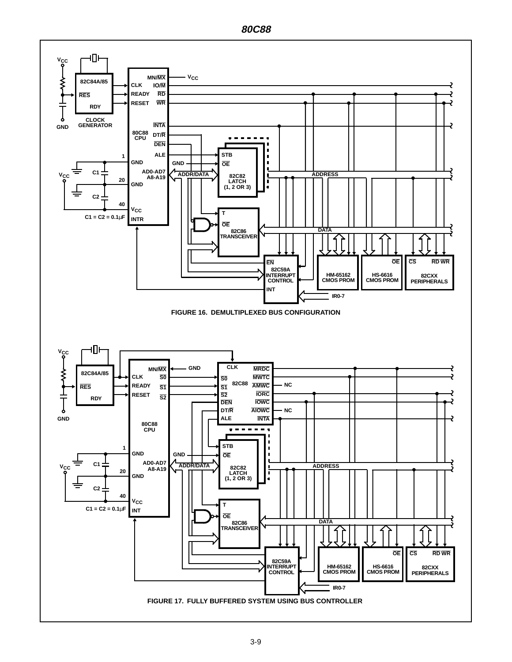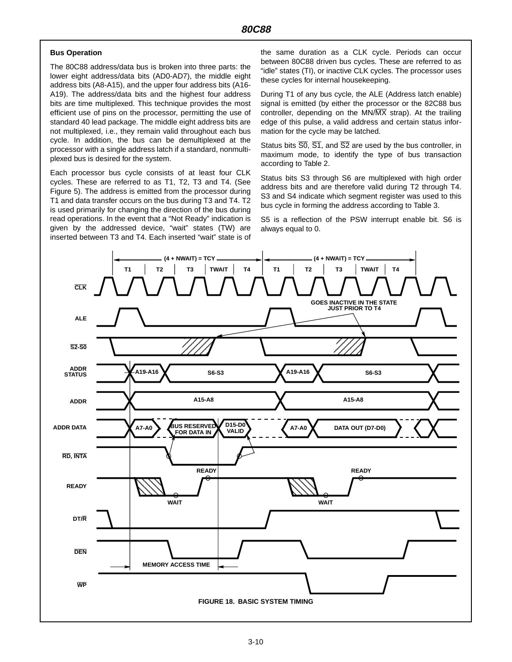#### **Bus Operation**

The 80C88 address/data bus is broken into three parts: the lower eight address/data bits (AD0-AD7), the middle eight address bits (A8-A15), and the upper four address bits (A16- A19). The address/data bits and the highest four address bits are time multiplexed. This technique provides the most efficient use of pins on the processor, permitting the use of standard 40 lead package. The middle eight address bits are not multiplexed, i.e., they remain valid throughout each bus cycle. In addition, the bus can be demultiplexed at the processor with a single address latch if a standard, nonmultiplexed bus is desired for the system.

Each processor bus cycle consists of at least four CLK cycles. These are referred to as T1, T2, T3 and T4. (See Figure 5). The address is emitted from the processor during T1 and data transfer occurs on the bus during T3 and T4. T2 is used primarily for changing the direction of the bus during read operations. In the event that a "Not Ready" indication is given by the addressed device, "wait" states (TW) are inserted between T3 and T4. Each inserted "wait" state is of

the same duration as a CLK cycle. Periods can occur between 80C88 driven bus cycles. These are referred to as "idle" states (TI), or inactive CLK cycles. The processor uses these cycles for internal housekeeping.

During T1 of any bus cycle, the ALE (Address latch enable) signal is emitted (by either the processor or the 82C88 bus controller, depending on the MN/ $\overline{MX}$  strap). At the trailing edge of this pulse, a valid address and certain status information for the cycle may be latched.

Status bits  $\overline{SO}$ ,  $\overline{S1}$ , and  $\overline{S2}$  are used by the bus controller, in maximum mode, to identify the type of bus transaction according to Table 2.

Status bits S3 through S6 are multiplexed with high order address bits and are therefore valid during T2 through T4. S3 and S4 indicate which segment register was used to this bus cycle in forming the address according to Table 3.

S5 is a reflection of the PSW interrupt enable bit. S6 is always equal to 0.

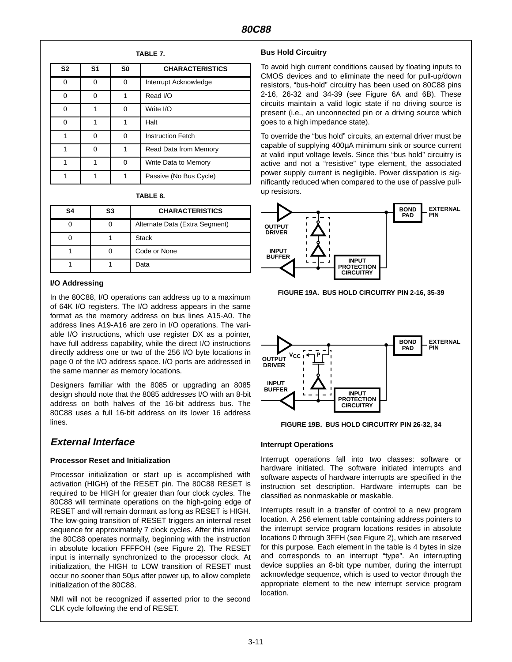| $\overline{\mathsf{S2}}$ | $\overline{\mathsf{s}}$ 1 | $\overline{50}$ | <b>CHARACTERISTICS</b>   |  |                      |
|--------------------------|---------------------------|-----------------|--------------------------|--|----------------------|
| $\Omega$                 | ∩                         | O               | Interrupt Acknowledge    |  |                      |
| $\Omega$                 | ∩                         |                 | Read I/O                 |  |                      |
| $\Omega$                 |                           | O               | Write I/O                |  |                      |
| $\Omega$                 |                           |                 | Halt                     |  |                      |
|                          | ∩                         | U               | <b>Instruction Fetch</b> |  |                      |
|                          | ∩                         |                 | Read Data from Memory    |  |                      |
|                          |                           | O               |                          |  | Write Data to Memory |
|                          |                           |                 | Passive (No Bus Cycle)   |  |                      |

**TABLE 7.**

#### **TABLE 8.**

| S4 | S <sub>3</sub> | <b>CHARACTERISTICS</b>         |
|----|----------------|--------------------------------|
|    |                | Alternate Data (Extra Segment) |
|    |                | <b>Stack</b>                   |
|    |                | Code or None                   |
|    |                | Data                           |

#### **I/O Addressing**

In the 80C88, I/O operations can address up to a maximum of 64K I/O registers. The I/O address appears in the same format as the memory address on bus lines A15-A0. The address lines A19-A16 are zero in I/O operations. The variable I/O instructions, which use register DX as a pointer, have full address capability, while the direct I/O instructions directly address one or two of the 256 I/O byte locations in page 0 of the I/O address space. I/O ports are addressed in the same manner as memory locations.

Designers familiar with the 8085 or upgrading an 8085 design should note that the 8085 addresses I/O with an 8-bit address on both halves of the 16-bit address bus. The 80C88 uses a full 16-bit address on its lower 16 address lines.

## **External Interface**

#### **Processor Reset and Initialization**

Processor initialization or start up is accomplished with activation (HIGH) of the RESET pin. The 80C88 RESET is required to be HIGH for greater than four clock cycles. The 80C88 will terminate operations on the high-going edge of RESET and will remain dormant as long as RESET is HIGH. The low-going transition of RESET triggers an internal reset sequence for approximately 7 clock cycles. After this interval the 80C88 operates normally, beginning with the instruction in absolute location FFFFOH (see Figure 2). The RESET input is internally synchronized to the processor clock. At initialization, the HIGH to LOW transition of RESET must occur no sooner than 50µs after power up, to allow complete initialization of the 80C88.

NMI will not be recognized if asserted prior to the second CLK cycle following the end of RESET.

#### **Bus Hold Circuitry**

To avoid high current conditions caused by floating inputs to CMOS devices and to eliminate the need for pull-up/down resistors, "bus-hold" circuitry has been used on 80C88 pins 2-16, 26-32 and 34-39 (see Figure 6A and 6B). These circuits maintain a valid logic state if no driving source is present (i.e., an unconnected pin or a driving source which goes to a high impedance state).

To override the "bus hold" circuits, an external driver must be capable of supplying 400µA minimum sink or source current at valid input voltage levels. Since this "bus hold" circuitry is active and not a "resistive" type element, the associated power supply current is negligible. Power dissipation is significantly reduced when compared to the use of passive pullup resistors.



**FIGURE 19A. BUS HOLD CIRCUITRY PIN 2-16, 35-39**



**FIGURE 19B. BUS HOLD CIRCUITRY PIN 26-32, 34**

#### **Interrupt Operations**

Interrupt operations fall into two classes: software or hardware initiated. The software initiated interrupts and software aspects of hardware interrupts are specified in the instruction set description. Hardware interrupts can be classified as nonmaskable or maskable.

Interrupts result in a transfer of control to a new program location. A 256 element table containing address pointers to the interrupt service program locations resides in absolute locations 0 through 3FFH (see Figure 2), which are reserved for this purpose. Each element in the table is 4 bytes in size and corresponds to an interrupt "type". An interrupting device supplies an 8-bit type number, during the interrupt acknowledge sequence, which is used to vector through the appropriate element to the new interrupt service program location.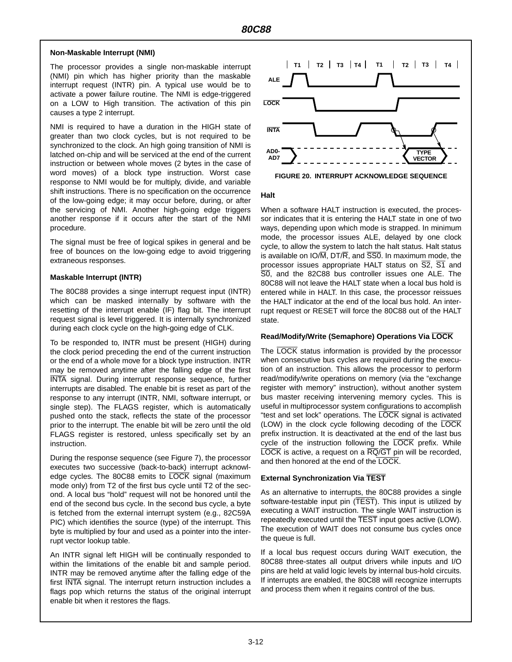#### **Non-Maskable Interrupt (NMI)**

The processor provides a single non-maskable interrupt (NMI) pin which has higher priority than the maskable interrupt request (INTR) pin. A typical use would be to activate a power failure routine. The NMI is edge-triggered on a LOW to High transition. The activation of this pin causes a type 2 interrupt.

NMI is required to have a duration in the HIGH state of greater than two clock cycles, but is not required to be synchronized to the clock. An high going transition of NMI is latched on-chip and will be serviced at the end of the current instruction or between whole moves (2 bytes in the case of word moves) of a block type instruction. Worst case response to NMI would be for multiply, divide, and variable shift instructions. There is no specification on the occurrence of the low-going edge; it may occur before, during, or after the servicing of NMI. Another high-going edge triggers another response if it occurs after the start of the NMI procedure.

The signal must be free of logical spikes in general and be free of bounces on the low-going edge to avoid triggering extraneous responses.

#### **Maskable Interrupt (INTR)**

The 80C88 provides a singe interrupt request input (INTR) which can be masked internally by software with the resetting of the interrupt enable (IF) flag bit. The interrupt request signal is level triggered. It is internally synchronized during each clock cycle on the high-going edge of CLK.

To be responded to, INTR must be present (HIGH) during the clock period preceding the end of the current instruction or the end of a whole move for a block type instruction. INTR may be removed anytime after the falling edge of the first INTA signal. During interrupt response sequence, further interrupts are disabled. The enable bit is reset as part of the response to any interrupt (INTR, NMI, software interrupt, or single step). The FLAGS register, which is automatically pushed onto the stack, reflects the state of the processor prior to the interrupt. The enable bit will be zero until the old FLAGS register is restored, unless specifically set by an instruction.

During the response sequence (see Figure 7), the processor executes two successive (back-to-back) interrupt acknowledge cycles. The 80C88 emits to LOCK signal (maximum mode only) from T2 of the first bus cycle until T2 of the second. A local bus "hold" request will not be honored until the end of the second bus cycle. In the second bus cycle, a byte is fetched from the external interrupt system (e.g., 82C59A PIC) which identifies the source (type) of the interrupt. This byte is multiplied by four and used as a pointer into the interrupt vector lookup table.

An INTR signal left HIGH will be continually responded to within the limitations of the enable bit and sample period. INTR may be removed anytime after the falling edge of the first INTA signal. The interrupt return instruction includes a flags pop which returns the status of the original interrupt enable bit when it restores the flags.



**FIGURE 20. INTERRUPT ACKNOWLEDGE SEQUENCE**

**Halt**

When a software HALT instruction is executed, the processor indicates that it is entering the HALT state in one of two ways, depending upon which mode is strapped. In minimum mode, the processor issues ALE, delayed by one clock cycle, to allow the system to latch the halt status. Halt status is available on  $IO/\overline{M}$ , DT/ $\overline{R}$ , and  $\overline{SS0}$ . In maximum mode, the processor issues appropriate HALT status on  $\overline{S2}$ ,  $\overline{S1}$  and S0, and the 82C88 bus controller issues one ALE. The 80C88 will not leave the HALT state when a local bus hold is entered while in HALT. In this case, the processor reissues the HALT indicator at the end of the local bus hold. An interrupt request or RESET will force the 80C88 out of the HALT state.

#### **Read/Modify/Write (Semaphore) Operations Via LOCK**

The LOCK status information is provided by the processor when consecutive bus cycles are required during the execution of an instruction. This allows the processor to perform read/modify/write operations on memory (via the "exchange register with memory" instruction), without another system bus master receiving intervening memory cycles. This is useful in multiprocessor system configurations to accomplish "test and set lock" operations. The LOCK signal is activated (LOW) in the clock cycle following decoding of the LOCK prefix instruction. It is deactivated at the end of the last bus cycle of the instruction following the  $\overline{\text{LOCK}}$  prefix. While  $\overline{\text{LOCK}}$  is active, a request on a  $\overline{\text{RQ}}/\overline{\text{GT}}$  pin will be recorded, and then honored at the end of the LOCK.

#### **External Synchronization Via TEST**

As an alternative to interrupts, the 80C88 provides a single software-testable input pin (TEST). This input is utilized by executing a WAIT instruction. The single WAIT instruction is repeatedly executed until the TEST input goes active (LOW). The execution of WAIT does not consume bus cycles once the queue is full.

If a local bus request occurs during WAIT execution, the 80C88 three-states all output drivers while inputs and I/O pins are held at valid logic levels by internal bus-hold circuits. If interrupts are enabled, the 80C88 will recognize interrupts and process them when it regains control of the bus.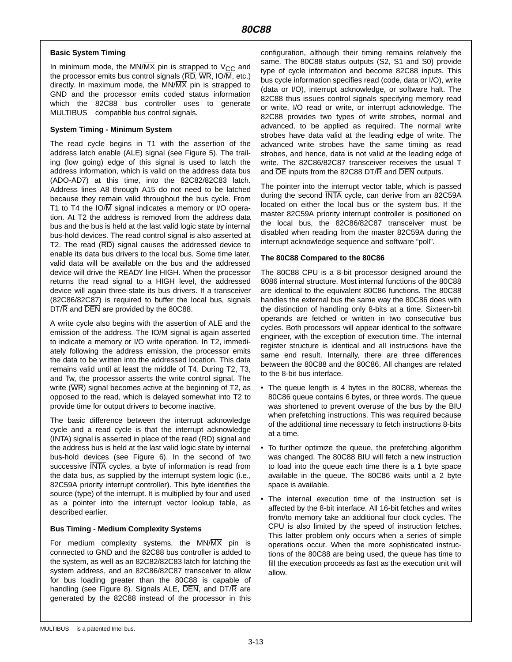#### **Basic System Timing**

In minimum mode, the MN/ $\overline{MX}$  pin is strapped to  $V_{CC}$  and the processor emits bus control signals ( $\overline{RD}$ ,  $\overline{WR}$ , IO/ $\overline{M}$ , etc.) directly. In maximum mode, the  $MN\overline{MX}$  pin is strapped to GND and the processor emits coded status information which the 82C88 bus controller uses to generate MULTIBUS™ compatible bus control signals.

#### **System Timing - Minimum System**

The read cycle begins in T1 with the assertion of the address latch enable (ALE) signal (see Figure 5). The trailing (low going) edge of this signal is used to latch the address information, which is valid on the address data bus (ADO-AD7) at this time, into the 82C82/82C83 latch. Address lines A8 through A15 do not need to be latched because they remain valid throughout the bus cycle. From T1 to T4 the  $IO/\overline{M}$  signal indicates a memory or I/O operation. At T2 the address is removed from the address data bus and the bus is held at the last valid logic state by internal bus-hold devices. The read control signal is also asserted at T2. The read  $(\overline{RD})$  signal causes the addressed device to enable its data bus drivers to the local bus. Some time later, valid data will be available on the bus and the addressed device will drive the READY line HIGH. When the processor returns the read signal to a HIGH level, the addressed device will again three-state its bus drivers. If a transceiver (82C86/82C87) is required to buffer the local bus, signals  $DT/\overline{R}$  and  $\overline{DEN}$  are provided by the 80C88.

A write cycle also begins with the assertion of ALE and the emission of the address. The IO/M signal is again asserted to indicate a memory or I/O write operation. In T2, immediately following the address emission, the processor emits the data to be written into the addressed location. This data remains valid until at least the middle of T4. During T2, T3, and Tw, the processor asserts the write control signal. The write  $(\overline{WR})$  signal becomes active at the beginning of T2, as opposed to the read, which is delayed somewhat into T2 to provide time for output drivers to become inactive.

The basic difference between the interrupt acknowledge cycle and a read cycle is that the interrupt acknowledge (INTA) signal is asserted in place of the read (RD) signal and the address bus is held at the last valid logic state by internal bus-hold devices (see Figure 6). In the second of two successive INTA cycles, a byte of information is read from the data bus, as supplied by the interrupt system logic (i.e., 82C59A priority interrupt controller). This byte identifies the source (type) of the interrupt. It is multiplied by four and used as a pointer into the interrupt vector lookup table, as described earlier.

#### **Bus Timing - Medium Complexity Systems**

For medium complexity systems, the  $MN/\overline{MX}$  pin is connected to GND and the 82C88 bus controller is added to the system, as well as an 82C82/82C83 latch for latching the system address, and an 82C86/82C87 transceiver to allow for bus loading greater than the 80C88 is capable of handling (see Figure 8). Signals ALE, DEN, and DT/R are generated by the 82C88 instead of the processor in this

configuration, although their timing remains relatively the same. The 80C88 status outputs  $(\overline{S2}, \overline{S1})$  and  $\overline{S0}$ ) provide type of cycle information and become 82C88 inputs. This bus cycle information specifies read (code, data or I/O), write (data or I/O), interrupt acknowledge, or software halt. The 82C88 thus issues control signals specifying memory read or write, I/O read or write, or interrupt acknowledge. The 82C88 provides two types of write strobes, normal and advanced, to be applied as required. The normal write strobes have data valid at the leading edge of write. The advanced write strobes have the same timing as read strobes, and hence, data is not valid at the leading edge of write. The 82C86/82C87 transceiver receives the usual T and  $\overline{OE}$  inputs from the 82C88 DT/ $\overline{R}$  and  $\overline{DEN}$  outputs.

The pointer into the interrupt vector table, which is passed during the second INTA cycle, can derive from an 82C59A located on either the local bus or the system bus. If the master 82C59A priority interrupt controller is positioned on the local bus, the 82C86/82C87 transceiver must be disabled when reading from the master 82C59A during the interrupt acknowledge sequence and software "poll".

#### **The 80C88 Compared to the 80C86**

The 80C88 CPU is a 8-bit processor designed around the 8086 internal structure. Most internal functions of the 80C88 are identical to the equivalent 80C86 functions. The 80C88 handles the external bus the same way the 80C86 does with the distinction of handling only 8-bits at a time. Sixteen-bit operands are fetched or written in two consecutive bus cycles. Both processors will appear identical to the software engineer, with the exception of execution time. The internal register structure is identical and all instructions have the same end result. Internally, there are three differences between the 80C88 and the 80C86. All changes are related to the 8-bit bus interface.

- The queue length is 4 bytes in the 80C88, whereas the 80C86 queue contains 6 bytes, or three words. The queue was shortened to prevent overuse of the bus by the BIU when prefetching instructions. This was required because of the additional time necessary to fetch instructions 8-bits at a time.
- To further optimize the queue, the prefetching algorithm was changed. The 80C88 BIU will fetch a new instruction to load into the queue each time there is a 1 byte space available in the queue. The 80C86 waits until a 2 byte space is available.
- The internal execution time of the instruction set is affected by the 8-bit interface. All 16-bit fetches and writes from/to memory take an additional four clock cycles. The CPU is also limited by the speed of instruction fetches. This latter problem only occurs when a series of simple operations occur. When the more sophisticated instructions of the 80C88 are being used, the queue has time to fill the execution proceeds as fast as the execution unit will allow.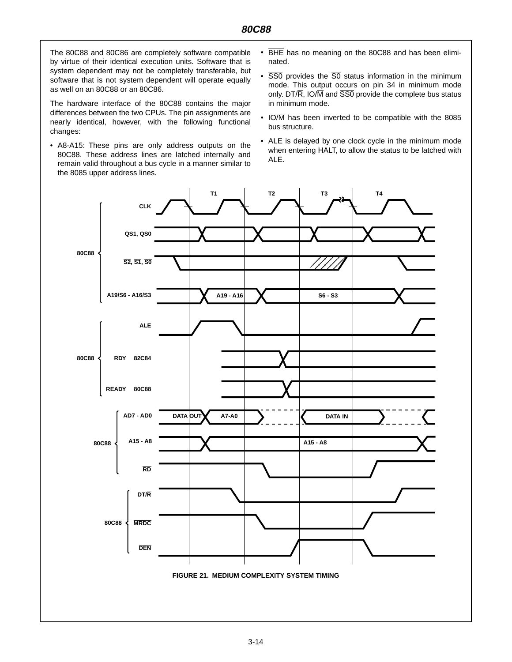The 80C88 and 80C86 are completely software compatible by virtue of their identical execution units. Software that is system dependent may not be completely transferable, but software that is not system dependent will operate equally as well on an 80C88 or an 80C86.

The hardware interface of the 80C88 contains the major differences between the two CPUs. The pin assignments are nearly identical, however, with the following functional changes:

• A8-A15: These pins are only address outputs on the 80C88. These address lines are latched internally and remain valid throughout a bus cycle in a manner similar to the 8085 upper address lines.

- BHE has no meaning on the 80C88 and has been eliminated.
- $\overline{SS0}$  provides the  $\overline{SO}$  status information in the minimum mode. This output occurs on pin 34 in minimum mode only. DT/ $\overline{R}$ , IO/ $\overline{M}$  and  $\overline{SS0}$  provide the complete bus status in minimum mode.
- $\bullet$  IO/ $\overline{M}$  has been inverted to be compatible with the 8085 bus structure.
- ALE is delayed by one clock cycle in the minimum mode when entering HALT, to allow the status to be latched with ALE.

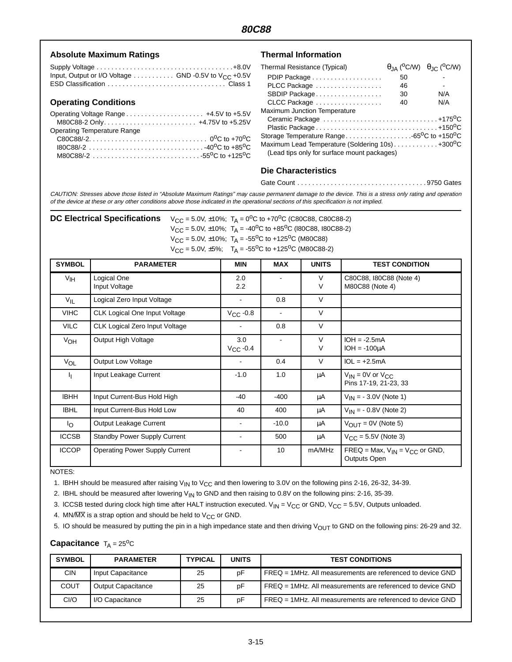#### Absolute Maximum Ratings **Thermal Information**

#### Supply Voltage . . . . . . . . . . . . . . . . . . . . . . . . . . . . . . . . . . . . .+8.0V Input, Output or I/O Voltage  $\ldots \ldots \ldots$  GND -0.5V to V<sub>CC</sub> +0.5V ESD Classification . . . . . . . . . . . . . . . . . . . . . . . . . . . . . . . . Class 1

#### **Operating Conditions**

| M80C88-2 Only +4.75V to +5.25V |  |
|--------------------------------|--|
| Operating Temperature Range    |  |
|                                |  |
|                                |  |
|                                |  |

| Thermal Resistance (Typical)                                       |    | $\theta_{IA}$ (°C/W) $\theta_{IC}$ (°C/W) |
|--------------------------------------------------------------------|----|-------------------------------------------|
|                                                                    | 50 |                                           |
| PLCC Package                                                       | 46 |                                           |
| SBDIP Package                                                      | 30 | N/A                                       |
| CLCC Package                                                       | 40 | N/A                                       |
| Maximum Junction Temperature                                       |    |                                           |
|                                                                    |    |                                           |
|                                                                    |    |                                           |
| Storage Temperature Range 65 <sup>0</sup> C to +150 <sup>0</sup> C |    |                                           |
| Maximum Lead Temperature (Soldering 10s) +300 <sup>o</sup> C       |    |                                           |
| (Lead tips only for surface mount packages)                        |    |                                           |

#### **Die Characteristics**

Gate Count . . . . . . . . . . . . . . . . . . . . . . . . . . . . . . . . . . . 9750 Gates

CAUTION: Stresses above those listed in "Absolute Maximum Ratings" may cause permanent damage to the device. This is a stress only rating and operation of the device at these or any other conditions above those indicated in the operational sections of this specification is not implied.

| <b>DC Electrical Specifications</b> | $V_{\text{CC}}$ = 5.0V, $\pm$ 10%; T <sub>A</sub> = 0 <sup>o</sup> C to +70 <sup>o</sup> C (C80C88, C80C88-2)   |
|-------------------------------------|-----------------------------------------------------------------------------------------------------------------|
|                                     | $V_{\text{CC}}$ = 5.0V, $\pm$ 10%; T <sub>A</sub> = -40 <sup>o</sup> C to +85 <sup>o</sup> C (180C88, 180C88-2) |
|                                     | $V_{CC}$ = 5.0V, ±10%; T <sub>A</sub> = -55 <sup>o</sup> C to +125 <sup>o</sup> C (M80C88)                      |
|                                     | $V_{\text{CC}} = 5.0V$ , $\pm 5\%$ ; T <sub>A</sub> = -55 <sup>o</sup> C to +125 <sup>o</sup> C (M80C88-2)      |
|                                     |                                                                                                                 |

| <b>SYMBOL</b>   | <b>PARAMETER</b>                      | MIN                      | <b>MAX</b> | <b>UNITS</b> | <b>TEST CONDITION</b>                                          |
|-----------------|---------------------------------------|--------------------------|------------|--------------|----------------------------------------------------------------|
| $V_{\text{IH}}$ | Logical One<br>Input Voltage          | 2.0<br>2.2               |            | V<br>V       | C80C88, I80C88 (Note 4)<br>M80C88 (Note 4)                     |
| $V_{IL}$        | Logical Zero Input Voltage            |                          | 0.8        | V            |                                                                |
| <b>VIHC</b>     | <b>CLK Logical One Input Voltage</b>  | $V_{CC}$ -0.8            |            | V            |                                                                |
| <b>VILC</b>     | <b>CLK Logical Zero Input Voltage</b> | ٠                        | 0.8        | $\vee$       |                                                                |
| V <sub>OH</sub> | Output High Voltage                   | 3.0<br>$V_{CC}$ -0.4     |            | $\vee$<br>V  | $IOH = -2.5mA$<br>$IOH = -100µA$                               |
| VOL             | <b>Output Low Voltage</b>             |                          | 0.4        | $\vee$       | $IOL = +2.5mA$                                                 |
| 4.              | Input Leakage Current                 | $-1.0$                   | 1.0        | μA           | $V_{IN}$ = 0V or $V_{CC}$<br>Pins 17-19, 21-23, 33             |
| <b>IBHH</b>     | Input Current-Bus Hold High           | -40                      | -400       | μA           | $V_{IN} = -3.0V$ (Note 1)                                      |
| <b>IBHL</b>     | Input Current-Bus Hold Low            | 40                       | 400        | μA           | $V_{IN} = -0.8V$ (Note 2)                                      |
| lo.             | Output Leakage Current                | $\blacksquare$           | $-10.0$    | μA           | $V_{\text{OUT}} = 0V$ (Note 5)                                 |
| <b>ICCSB</b>    | <b>Standby Power Supply Current</b>   | $\overline{\phantom{a}}$ | 500        | μA           | $V_{CC}$ = 5.5V (Note 3)                                       |
| <b>ICCOP</b>    | <b>Operating Power Supply Current</b> |                          | 10         | mA/MHz       | FREQ = Max, $V_{IN}$ = $V_{CC}$ or GND,<br><b>Outputs Open</b> |

NOTES:

1. IBHH should be measured after raising V<sub>IN</sub> to V<sub>CC</sub> and then lowering to 3.0V on the following pins 2-16, 26-32, 34-39.

2. IBHL should be measured after lowering V<sub>IN</sub> to GND and then raising to 0.8V on the following pins: 2-16, 35-39.

3. ICCSB tested during clock high time after HALT instruction executed.  $V_{\text{IN}} = V_{\text{CC}}$  or GND,  $V_{\text{CC}} = 5.5V$ , Outputs unloaded.

4. MN/ $\overline{MX}$  is a strap option and should be held to  $V_{CC}$  or GND.

5. IO should be measured by putting the pin in a high impedance state and then driving  $V_{OUT}$  to GND on the following pins: 26-29 and 32.

#### **Capacitance**  $T_A = 25^{\circ}C$

| <b>SYMBOL</b> | <b>PARAMETER</b>          | <b>TYPICAL</b> | <b>UNITS</b> | <b>TEST CONDITIONS</b>                                                 |
|---------------|---------------------------|----------------|--------------|------------------------------------------------------------------------|
| <b>CIN</b>    | Input Capacitance         | 25             | рF           | FREQ = 1MHz. All measurements are referenced to device GND             |
| COUT          | <b>Output Capacitance</b> | 25             | pF           | $\mathsf I$ FREQ = 1MHz. All measurements are referenced to device GND |
| CI/O          | I/O Capacitance           | 25             | pF           | FREQ = 1MHz. All measurements are referenced to device GND             |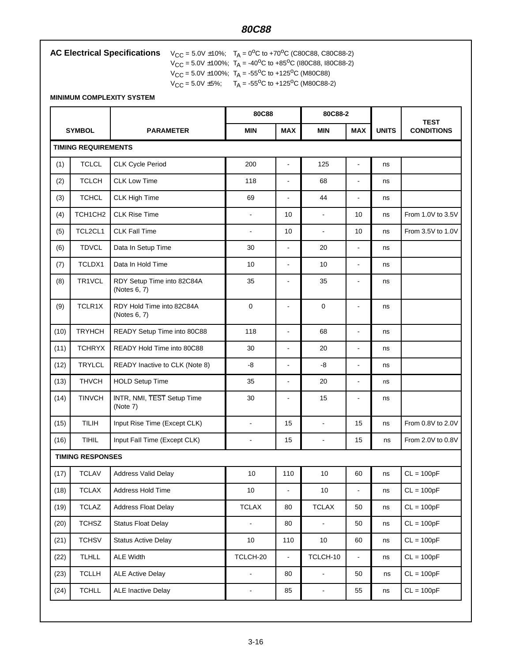**AC Electrical Specifications**  $V_{CC} = 5.0V \pm 10\%; T_A = 0^{\circ}\text{C} \text{ to } +70^{\circ}\text{C} \text{ (C80C88, C80C88-2)}$  $V_{\text{CC}} = 5.0 \text{V} \pm 100\%$ ; T<sub>A</sub> = -40<sup>o</sup>C to +85<sup>o</sup>C (180C88, 180C88-2)  $V_{CC} = 5.0V \pm 100\%$ ; T<sub>A</sub> = -55<sup>o</sup>C to +125<sup>o</sup>C (M80C88)  $V_{\text{CC}} = 5.0V \pm 5\%; \quad T_A = -55^{\circ}\text{C} \text{ to } +125^{\circ}\text{C} \text{ (M80C88-2)}$ 

**MINIMUM COMPLEXITY SYSTEM**

|      |                            |                                            | 80C88        |                          | 80C88-2        |                          |              | <b>TEST</b>       |
|------|----------------------------|--------------------------------------------|--------------|--------------------------|----------------|--------------------------|--------------|-------------------|
|      | <b>SYMBOL</b>              | <b>PARAMETER</b>                           | <b>MIN</b>   | <b>MAX</b>               | <b>MIN</b>     | <b>MAX</b>               | <b>UNITS</b> | <b>CONDITIONS</b> |
|      | <b>TIMING REQUIREMENTS</b> |                                            |              |                          |                |                          |              |                   |
| (1)  | <b>TCLCL</b>               | <b>CLK Cycle Period</b>                    | 200          | ÷,                       | 125            | $\blacksquare$           | ns           |                   |
| (2)  | <b>TCLCH</b>               | <b>CLK Low Time</b>                        | 118          | ÷.                       | 68             | $\blacksquare$           | ns           |                   |
| (3)  | <b>TCHCL</b>               | <b>CLK High Time</b>                       | 69           | ÷,                       | 44             | $\blacksquare$           | ns           |                   |
| (4)  | TCH1CH2                    | <b>CLK Rise Time</b>                       | ÷,           | 10                       | ÷,             | 10                       | ns           | From 1.0V to 3.5V |
| (5)  | TCL2CL1                    | <b>CLK Fall Time</b>                       | ä,           | 10                       | $\blacksquare$ | 10                       | ns           | From 3.5V to 1.0V |
| (6)  | <b>TDVCL</b>               | Data In Setup Time                         | 30           | ÷,                       | 20             | $\blacksquare$           | ns           |                   |
| (7)  | TCLDX1                     | Data In Hold Time                          | 10           | ä,                       | 10             | $\blacksquare$           | ns           |                   |
| (8)  | TR1VCL                     | RDY Setup Time into 82C84A<br>(Notes 6, 7) | 35           | ۰                        | 35             | $\overline{a}$           | ns           |                   |
| (9)  | TCLR1X                     | RDY Hold Time into 82C84A<br>(Notes 6, 7)  | 0            | ٠                        | $\mathbf 0$    | $\overline{a}$           | ns           |                   |
| (10) | <b>TRYHCH</b>              | READY Setup Time into 80C88                | 118          | ٠                        | 68             | ÷                        | ns           |                   |
| (11) | <b>TCHRYX</b>              | READY Hold Time into 80C88                 | 30           | ÷,                       | 20             | ÷,                       | ns           |                   |
| (12) | <b>TRYLCL</b>              | READY Inactive to CLK (Note 8)             | -8           | ä,                       | -8             | $\blacksquare$           | ns           |                   |
| (13) | <b>THVCH</b>               | <b>HOLD Setup Time</b>                     | 35           | $\blacksquare$           | 20             | $\blacksquare$           | ns           |                   |
| (14) | <b>TINVCH</b>              | INTR, NMI, TEST Setup Time<br>(Note 7)     | 30           | $\overline{\phantom{0}}$ | 15             | $\overline{\phantom{a}}$ | ns           |                   |
| (15) | <b>TILIH</b>               | Input Rise Time (Except CLK)               | ÷,           | 15                       | $\blacksquare$ | 15                       | ns           | From 0.8V to 2.0V |
| (16) | <b>TIHIL</b>               | Input Fall Time (Except CLK)               | ÷,           | 15                       | ÷,             | 15                       | ns           | From 2.0V to 0.8V |
|      | <b>TIMING RESPONSES</b>    |                                            |              |                          |                |                          |              |                   |
| (17) | <b>TCLAV</b>               | Address Valid Delay                        | 10           | 110                      | 10             | 60                       | ns           | $CL = 100pF$      |
| (18) | <b>TCLAX</b>               | Address Hold Time                          | $10$         | $\blacksquare$           | 10             | ÷,                       | ns           | $CL = 100pF$      |
| (19) | <b>TCLAZ</b>               | <b>Address Float Delay</b>                 | <b>TCLAX</b> | 80                       | <b>TCLAX</b>   | 50                       | ns           | $CL = 100pF$      |
| (20) | <b>TCHSZ</b>               | <b>Status Float Delay</b>                  | ÷.           | 80                       | ÷.             | 50                       | ns           | $CL = 100pF$      |
| (21) | <b>TCHSV</b>               | <b>Status Active Delay</b>                 | 10           | 110                      | $10\,$         | 60                       | ns           | $CL = 100pF$      |
| (22) | <b>TLHLL</b>               | ALE Width                                  | TCLCH-20     | $\blacksquare$           | TCLCH-10       | $\blacksquare$           | ns           | $CL = 100pF$      |
| (23) | <b>TCLLH</b>               | <b>ALE Active Delay</b>                    | ÷,           | 80                       | ÷              | 50                       | ns           | $CL = 100pF$      |
| (24) | <b>TCHLL</b>               | <b>ALE Inactive Delay</b>                  | ÷            | 85                       | ÷              | 55                       | ns           | $CL = 100pF$      |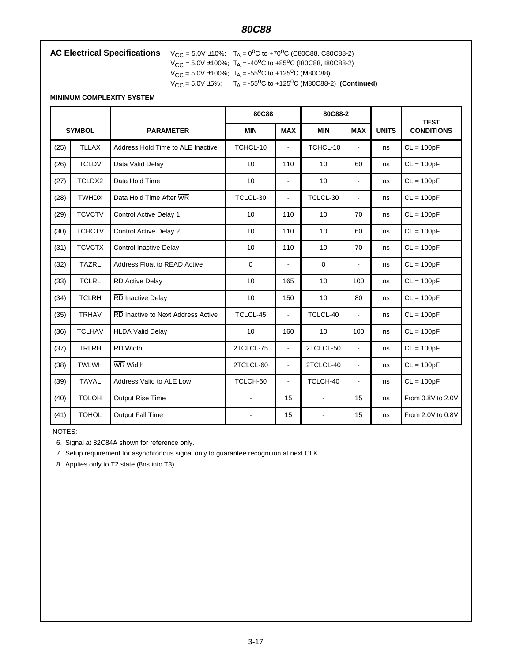# **AC Electrical Specifications**  $V_{CC} = 5.0V \pm 10\%$ ;  $T_A = 0^{\circ}C$  to +70<sup>o</sup>C (C80C88, C80C88-2)

 $V_{CC} = 5.0V \pm 100\%$ ; T<sub>A</sub> = -40<sup>o</sup>C to +85<sup>o</sup>C (180C88, 180C88-2)  $V_{CC} = 5.0V \pm 100\%$ ; T<sub>A</sub> = -55<sup>o</sup>C to +125<sup>o</sup>C (M80C88)  $V_{CC} = 5.0V \pm 5\%$ ; T<sub>A</sub> = -55<sup>o</sup>C to +125<sup>o</sup>C (M80C88-2) (Continued)

#### **MINIMUM COMPLEXITY SYSTEM**

|      |               |                                    | 80C88       |                          | 80C88-2        |                |              | <b>TEST</b>       |
|------|---------------|------------------------------------|-------------|--------------------------|----------------|----------------|--------------|-------------------|
|      | <b>SYMBOL</b> | <b>PARAMETER</b>                   | <b>MIN</b>  | <b>MAX</b>               | <b>MIN</b>     | <b>MAX</b>     | <b>UNITS</b> | <b>CONDITIONS</b> |
| (25) | <b>TLLAX</b>  | Address Hold Time to ALE Inactive  | TCHCL-10    | $\blacksquare$           | TCHCL-10       | $\blacksquare$ | ns           | $CL = 100pF$      |
| (26) | <b>TCLDV</b>  | Data Valid Delay                   | 10          | 110                      | 10             | 60             | ns           | $CL = 100pF$      |
| (27) | TCLDX2        | Data Hold Time                     | 10          | $\blacksquare$           | 10             | $\mathbf{r}$   | ns           | $CL = 100pF$      |
| (28) | <b>TWHDX</b>  | Data Hold Time After WR            | TCLCL-30    | $\overline{\phantom{a}}$ | TCLCL-30       | $\blacksquare$ | ns           | $CL = 100pF$      |
| (29) | <b>TCVCTV</b> | Control Active Delay 1             | 10          | 110                      | 10             | 70             | ns           | $CL = 100pF$      |
| (30) | <b>TCHCTV</b> | Control Active Delay 2             | 10          | 110                      | 10             | 60             | ns           | $CL = 100pF$      |
| (31) | <b>TCVCTX</b> | <b>Control Inactive Delay</b>      | 10          | 110                      | 10             | 70             | ns           | $CL = 100pF$      |
| (32) | <b>TAZRL</b>  | Address Float to READ Active       | $\mathbf 0$ |                          | $\Omega$       | ÷.             | ns           | $CL = 100pF$      |
| (33) | <b>TCLRL</b>  | <b>RD</b> Active Delay             | 10          | 165                      | 10             | 100            | ns           | $CL = 100pF$      |
| (34) | <b>TCLRH</b>  | RD Inactive Delay                  | 10          | 150                      | 10             | 80             | ns           | $CL = 100pF$      |
| (35) | <b>TRHAV</b>  | RD Inactive to Next Address Active | TCLCL-45    | $\blacksquare$           | TCLCL-40       | $\blacksquare$ | ns           | $CL = 100pF$      |
| (36) | <b>TCLHAV</b> | <b>HLDA Valid Delay</b>            | 10          | 160                      | 10             | 100            | ns           | $CL = 100pF$      |
| (37) | <b>TRLRH</b>  | <b>RD</b> Width                    | 2TCLCL-75   | $\blacksquare$           | 2TCLCL-50      | ÷              | ns           | $CL = 100pF$      |
| (38) | <b>TWLWH</b>  | WR Width                           | 2TCLCL-60   | $\blacksquare$           | 2TCLCL-40      | $\blacksquare$ | ns           | $CL = 100pF$      |
| (39) | <b>TAVAL</b>  | Address Valid to ALE Low           | TCLCH-60    | $\blacksquare$           | TCLCH-40       | $\blacksquare$ | ns           | $CL = 100pF$      |
| (40) | <b>TOLOH</b>  | <b>Output Rise Time</b>            | ٠           | 15                       | $\blacksquare$ | 15             | ns           | From 0.8V to 2.0V |
| (41) | <b>TOHOL</b>  | <b>Output Fall Time</b>            | ä,          | 15                       |                | 15             | ns           | From 2.0V to 0.8V |

NOTES:

6. Signal at 82C84A shown for reference only.

7. Setup requirement for asynchronous signal only to guarantee recognition at next CLK.

8. Applies only to T2 state (8ns into T3).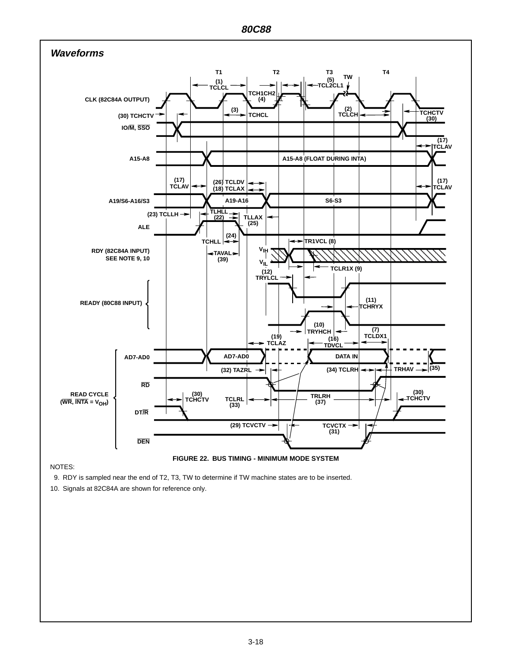

NOTES:

9. RDY is sampled near the end of T2, T3, TW to determine if TW machine states are to be inserted.

10. Signals at 82C84A are shown for reference only.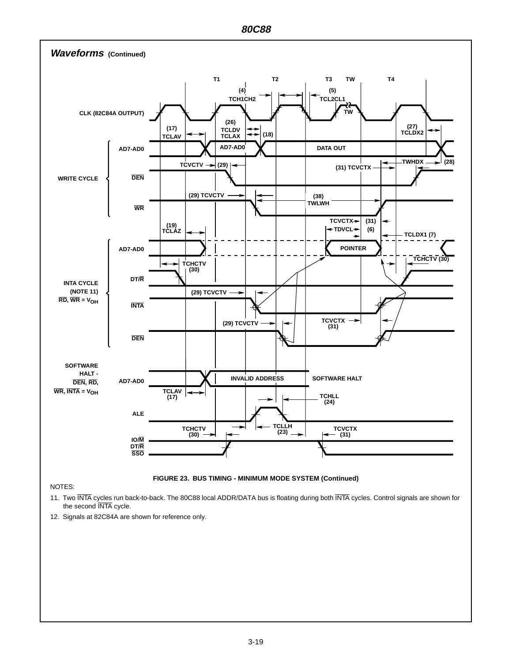

#### NOTES:

#### **FIGURE 23. BUS TIMING - MINIMUM MODE SYSTEM (Continued)**

- 11. Two INTA cycles run back-to-back. The 80C88 local ADDR/DATA bus is floating during both INTA cycles. Control signals are shown for the second INTA cycle.
- 12. Signals at 82C84A are shown for reference only.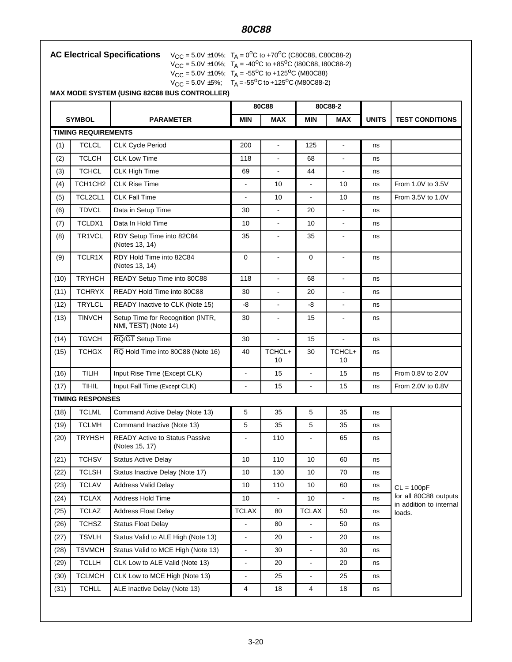**AC Electrical Specifications**  $V_{CC} = 5.0V \pm 10\%$ ; T<sub>A</sub> = 0<sup>o</sup>C to +70<sup>o</sup>C (C80C88, C80C88-2)

 $V_{\text{CC}} = 5.0 \text{V} \pm 10\%$ ; T<sub>A</sub> = -40<sup>o</sup>C to +85<sup>o</sup>C (180C88, 180C88-2)

 $V_{\text{CC}} = 5.0V \pm 10\%$ ; T<sub>A</sub> = -55<sup>o</sup>C to +125<sup>o</sup>C (M80C88)

 $V_{\text{CC}} = 5.0V \pm 5\%; \quad T_A = -55^{\circ}\text{C} \text{ to } +125^{\circ}\text{C} \text{ (M80C88-2)}$ 

**MAX MODE SYSTEM (USING 82C88 BUS CONTROLLER)**

|      |                            |                                                           | 80C88                    |                              | 80C88-2        |                |              |                                   |
|------|----------------------------|-----------------------------------------------------------|--------------------------|------------------------------|----------------|----------------|--------------|-----------------------------------|
|      | <b>SYMBOL</b>              | <b>PARAMETER</b>                                          | <b>MIN</b>               | <b>MAX</b>                   | MIN            | <b>MAX</b>     | <b>UNITS</b> | <b>TEST CONDITIONS</b>            |
|      | <b>TIMING REQUIREMENTS</b> |                                                           |                          |                              |                |                |              |                                   |
| (1)  | <b>TCLCL</b>               | <b>CLK Cycle Period</b>                                   | 200                      | $\overline{a}$               | 125            | $\blacksquare$ | ns           |                                   |
| (2)  | <b>TCLCH</b>               | <b>CLK Low Time</b>                                       | 118                      | $\blacksquare$               | 68             | $\blacksquare$ | ns           |                                   |
| (3)  | <b>TCHCL</b>               | <b>CLK High Time</b>                                      | 69                       | $\blacksquare$               | 44             | $\blacksquare$ | ns           |                                   |
| (4)  | TCH1CH2                    | <b>CLK Rise Time</b>                                      | $\blacksquare$           | 10                           | $\blacksquare$ | 10             | ns           | From 1.0V to 3.5V                 |
| (5)  | TCL2CL1                    | <b>CLK Fall Time</b>                                      | $\overline{\phantom{a}}$ | 10                           | $\blacksquare$ | 10             | ns           | From 3.5V to 1.0V                 |
| (6)  | <b>TDVCL</b>               | Data in Setup Time                                        | 30                       |                              | 20             | $\blacksquare$ | ns           |                                   |
| (7)  | TCLDX1                     | Data In Hold Time                                         | 10                       | $\overline{a}$               | 10             | $\blacksquare$ | ns           |                                   |
| (8)  | TR1VCL                     | RDY Setup Time into 82C84<br>(Notes 13, 14)               | 35                       |                              | 35             | ä,             | ns           |                                   |
| (9)  | TCLR1X                     | RDY Hold Time into 82C84<br>(Notes 13, 14)                | 0                        | $\blacksquare$               | $\mathbf 0$    | $\blacksquare$ | ns           |                                   |
| (10) | <b>TRYHCH</b>              | READY Setup Time into 80C88                               | 118                      | $\Box$                       | 68             | $\blacksquare$ | ns           |                                   |
| (11) | <b>TCHRYX</b>              | READY Hold Time into 80C88                                | 30                       | $\blacksquare$               | 20             | $\blacksquare$ | ns           |                                   |
| (12) | <b>TRYLCL</b>              | READY Inactive to CLK (Note 15)                           | -8                       | ÷,                           | -8             | $\blacksquare$ | ns           |                                   |
| (13) | <b>TINVCH</b>              | Setup Time for Recognition (INTR,<br>NMI, TEST) (Note 14) | 30                       | $\qquad \qquad \blacksquare$ | 15             | $\blacksquare$ | ns           |                                   |
| (14) | <b>TGVCH</b>               | RQ/GT Setup Time                                          | 30                       | $\overline{\phantom{a}}$     | 15             | $\Box$         | ns           |                                   |
| (15) | <b>TCHGX</b>               | RQ Hold Time into 80C88 (Note 16)                         | 40                       | TCHCL+<br>10                 | 30             | TCHCL+<br>10   | ns           |                                   |
| (16) | <b>TILIH</b>               | Input Rise Time (Except CLK)                              | $\blacksquare$           | 15                           | $\frac{1}{2}$  | 15             | ns           | From 0.8V to 2.0V                 |
| (17) | <b>TIHIL</b>               | Input Fall Time (Except CLK)                              |                          | 15                           |                | 15             | ns           | From 2.0V to 0.8V                 |
|      | <b>TIMING RESPONSES</b>    |                                                           |                          |                              |                |                |              |                                   |
| (18) | <b>TCLML</b>               | Command Active Delay (Note 13)                            | 5                        | 35                           | 5              | 35             | ns           |                                   |
| (19) | <b>TCLMH</b>               | Command Inactive (Note 13)                                | 5                        | 35                           | 5              | 35             | ns           |                                   |
| (20) | <b>TRYHSH</b>              | <b>READY Active to Status Passive</b><br>(Notes 15, 17)   | ÷,                       | 110                          | $\blacksquare$ | 65             | ns           |                                   |
| (21) | <b>TCHSV</b>               | <b>Status Active Delay</b>                                | 10                       | 110                          | 10             | 60             | ns           |                                   |
| (22) | <b>TCLSH</b>               | Status Inactive Delay (Note 17)                           | 10                       | 130                          | 10             | 70             | ns           |                                   |
| (23) | <b>TCLAV</b>               | <b>Address Valid Delay</b>                                | 10                       | 110                          | 10             | 60             | ns           | $CL = 100pF$                      |
| (24) | <b>TCLAX</b>               | Address Hold Time                                         | 10                       | $\blacksquare$               | 10             | $\blacksquare$ | ns           | for all 80C88 outputs             |
| (25) | <b>TCLAZ</b>               | <b>Address Float Delay</b>                                | <b>TCLAX</b>             | 80                           | <b>TCLAX</b>   | 50             | ns           | in addition to internal<br>loads. |
| (26) | <b>TCHSZ</b>               | <b>Status Float Delay</b>                                 |                          | 80                           |                | 50             | ns           |                                   |
| (27) | <b>TSVLH</b>               | Status Valid to ALE High (Note 13)                        | $\blacksquare$           | 20                           | $\frac{1}{2}$  | 20             | ns           |                                   |
| (28) | <b>TSVMCH</b>              | Status Valid to MCE High (Note 13)                        | $\blacksquare$           | 30                           | $\blacksquare$ | 30             | ns           |                                   |
| (29) | <b>TCLLH</b>               | CLK Low to ALE Valid (Note 13)                            | $\blacksquare$           | 20                           | $\blacksquare$ | 20             | ns           |                                   |
| (30) | <b>TCLMCH</b>              | CLK Low to MCE High (Note 13)                             | $\Box$                   | 25                           | $\blacksquare$ | 25             | ns           |                                   |
| (31) | <b>TCHLL</b>               | ALE Inactive Delay (Note 13)                              | 4                        | 18                           | $\overline{4}$ | 18             | ns           |                                   |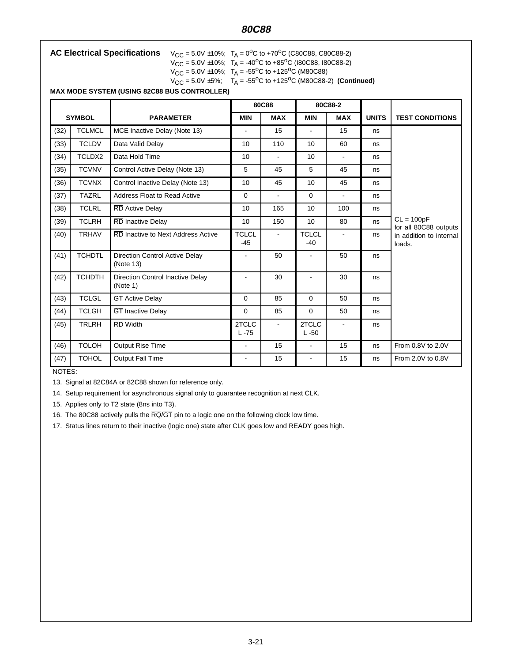**AC Electrical Specifications**  $V_{CC} = 5.0V \pm 10\%$ ;  $T_A = 0^0C$  to  $+70^0C$  (C80C88, C80C88-2)

 $V_{CC} = 5.0V \pm 10\%$ ; T<sub>A</sub> = -40<sup>o</sup>C to +85<sup>o</sup>C (180C88, 180C88-2)

 $V_{\text{CC}} = 5.0V \pm 10\%$ ; T<sub>A</sub> = -55<sup>o</sup>C to +125<sup>o</sup>C (M80C88)

 $V_{\text{CC}} = 5.0V \pm 5\%;$  T<sub>A</sub> = -55<sup>o</sup>C to +125<sup>o</sup>C (M80C88-2) (Continued)

**MAX MODE SYSTEM (USING 82C88 BUS CONTROLLER)**

|      |               |                                                     | 80C88                    |            |                       | 80C88-2        |              |                                       |
|------|---------------|-----------------------------------------------------|--------------------------|------------|-----------------------|----------------|--------------|---------------------------------------|
|      | <b>SYMBOL</b> | <b>PARAMETER</b>                                    | <b>MIN</b>               | <b>MAX</b> | <b>MIN</b>            | <b>MAX</b>     | <b>UNITS</b> | <b>TEST CONDITIONS</b>                |
| (32) | <b>TCLMCL</b> | MCE Inactive Delay (Note 13)                        | $\overline{\phantom{a}}$ | 15         | ä,                    | 15             | ns           |                                       |
| (33) | <b>TCLDV</b>  | Data Valid Delay                                    | 10                       | 110        | 10                    | 60             | ns           |                                       |
| (34) | TCLDX2        | Data Hold Time                                      | 10                       | ä,         | 10                    | $\blacksquare$ | ns           |                                       |
| (35) | <b>TCVNV</b>  | Control Active Delay (Note 13)                      | 5                        | 45         | 5                     | 45             | ns           |                                       |
| (36) | <b>TCVNX</b>  | Control Inactive Delay (Note 13)                    | 10                       | 45         | 10                    | 45             | ns           |                                       |
| (37) | <b>TAZRL</b>  | <b>Address Float to Read Active</b>                 | $\Omega$                 | ÷          | $\Omega$              | $\blacksquare$ | ns           |                                       |
| (38) | <b>TCLRL</b>  | <b>RD</b> Active Delay                              | 10                       | 165        | 10                    | 100            | ns           |                                       |
| (39) | <b>TCLRH</b>  | <b>RD</b> Inactive Delay                            | 10                       | 150        | 10                    | 80             | ns           | $CL = 100pF$<br>for all 80C88 outputs |
| (40) | <b>TRHAV</b>  | RD Inactive to Next Address Active                  | <b>TCLCL</b><br>$-45$    | L.         | <b>TCLCL</b><br>$-40$ | $\blacksquare$ | ns           | in addition to internal<br>loads.     |
| (41) | <b>TCHDTL</b> | Direction Control Active Delay<br>(Note 13)         |                          | 50         |                       | 50             | ns           |                                       |
| (42) | <b>TCHDTH</b> | <b>Direction Control Inactive Delay</b><br>(Note 1) |                          | 30         |                       | 30             | ns           |                                       |
| (43) | <b>TCLGL</b>  | GT Active Delay                                     | $\Omega$                 | 85         | $\Omega$              | 50             | ns           |                                       |
| (44) | <b>TCLGH</b>  | GT Inactive Delay                                   | $\Omega$                 | 85         | $\Omega$              | 50             | ns           |                                       |
| (45) | <b>TRLRH</b>  | RD Width                                            | 2TCLC<br>$L - 75$        | ä,         | 2TCLC<br>$L - 50$     | ä,             | ns           |                                       |
| (46) | <b>TOLOH</b>  | <b>Output Rise Time</b>                             |                          | 15         |                       | 15             | ns           | From 0.8V to 2.0V                     |
| (47) | <b>TOHOL</b>  | <b>Output Fall Time</b>                             | $\blacksquare$           | 15         | $\blacksquare$        | 15             | ns           | From 2.0V to 0.8V                     |

NOTES:

13. Signal at 82C84A or 82C88 shown for reference only.

14. Setup requirement for asynchronous signal only to guarantee recognition at next CLK.

15. Applies only to T2 state (8ns into T3).

16. The 80C88 actively pulls the  $\overline{\text{RQ/GT}}$  pin to a logic one on the following clock low time.

17. Status lines return to their inactive (logic one) state after CLK goes low and READY goes high.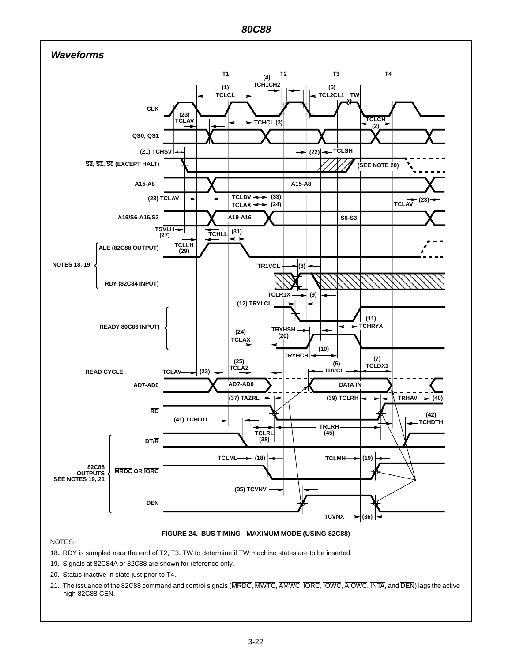

#### NOTES:

- 
- 18. RDY is sampled near the end of T2, T3, TW to determine if TW machine states are to be inserted.
- 19. Signals at 82C84A or 82C88 are shown for reference only.
- 20. Status inactive in state just prior to T4.
- 21. The issuance of the 82C88 command and control signals (MRDC, MWTC, AMWC, IORC, IOWC, AIOWC, INTA, and DEN) lags the active high 82C88 CEN.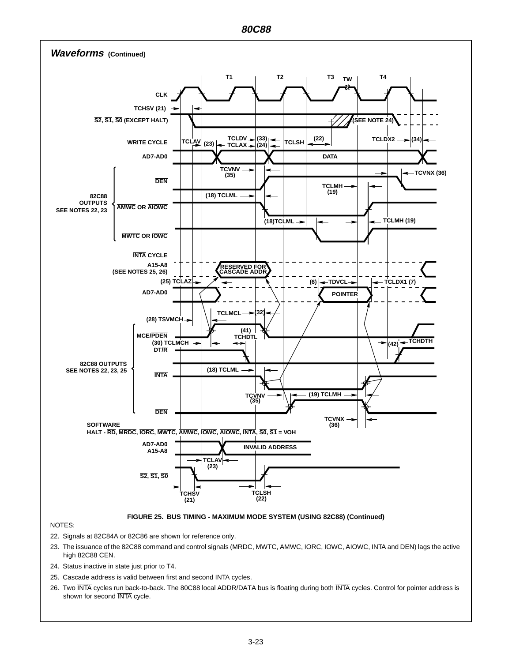

#### NOTES:

- 22. Signals at 82C84A or 82C86 are shown for reference only.
- 23. The issuance of the 82C88 command and control signals (MRDC, MWTC, AMWC, IORC, IOWC, AIOWC, INTA and DEN) lags the active high 82C88 CEN.
- 24. Status inactive in state just prior to T4.
- 25. Cascade address is valid between first and second INTA cycles.
- 26. Two INTA cycles run back-to-back. The 80C88 local ADDR/DATA bus is floating during both INTA cycles. Control for pointer address is shown for second INTA cycle.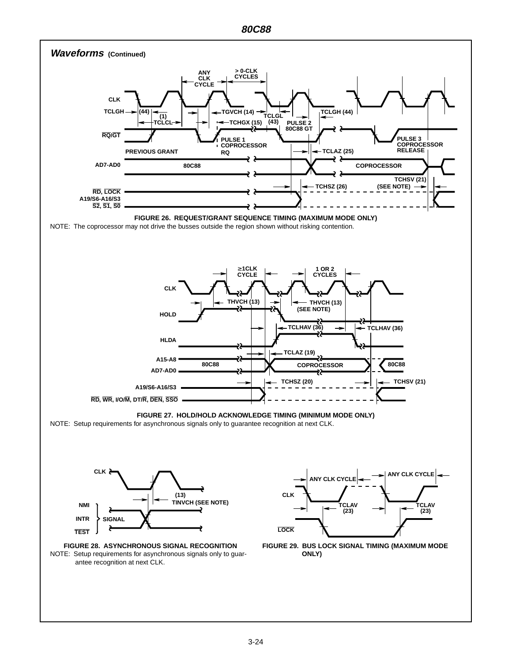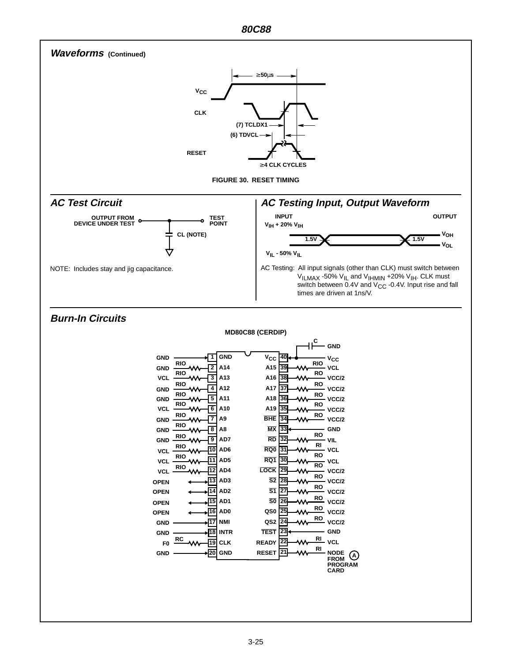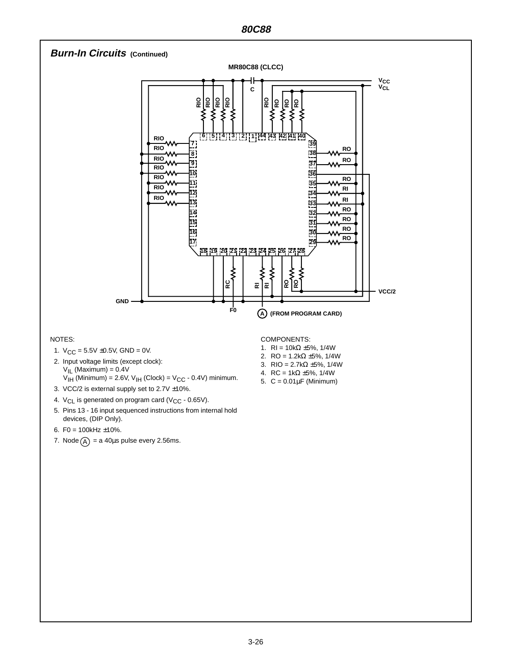

- 1.  $V_{CC} = 5.5V \pm 0.5V$ , GND = 0V.
- 2. Input voltage limits (except clock):  $V_{IL}$  (Maximum) =  $0.4V$  $V_{IH}$  (Minimum) = 2.6V,  $V_{IH}$  (Clock) =  $V_{CC}$  - 0.4V) minimum.
- 3. VCC/2 is external supply set to 2.7V ±10%.
- 4.  $V_{CL}$  is generated on program card ( $V_{CC}$  0.65V).
- 5. Pins 13 16 input sequenced instructions from internal hold devices, (DIP Only).
- 6. F0 =  $100$ kHz  $\pm 10$ %.
- 7. Node  $\widehat{A}$  = a 40  $\mu$ s pulse every 2.56 ms.

- 1. RI =  $10kΩ ±5%$ , 1/4W
- 2. RO =  $1.2$ kΩ ±5%, 1/4W 3. RIO =  $2.7k\Omega \pm 5\%$ , 1/4W
- 4. RC = 1kΩ  $±5%$ , 1/4W
- 5.  $C = 0.01 \mu F$  (Minimum)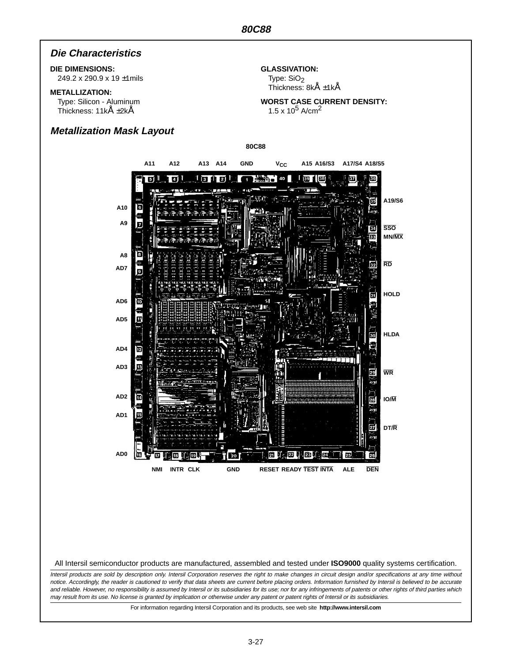## **Die Characteristics**

#### **DIE DIMENSIONS:**

249.2 x 290.9 x 19 ±1mils

#### **METALLIZATION:**

Type: Silicon - Aluminum Thickness: 11kÅ ±2kÅ

## **Metallization Mask Layout**

**GLASSIVATION:** Type: SiO<sub>2</sub> Thickness: 8kÅ ±1kÅ

**WORST CASE CURRENT DENSITY:**  $1.5 \times 10^5$  A/cm<sup>2</sup>



#### All Intersil semiconductor products are manufactured, assembled and tested under **ISO9000** quality systems certification.

Intersil products are sold by description only. Intersil Corporation reserves the right to make changes in circuit design and/or specifications at any time without notice. Accordingly, the reader is cautioned to verify that data sheets are current before placing orders. Information furnished by Intersil is believed to be accurate and reliable. However, no responsibility is assumed by Intersil or its subsidiaries for its use; nor for any infringements of patents or other rights of third parties which may result from its use. No license is granted by implication or otherwise under any patent or patent rights of Intersil or its subsidiaries.

For information regarding Intersil Corporation and its products, see web site **http://www.intersil.com**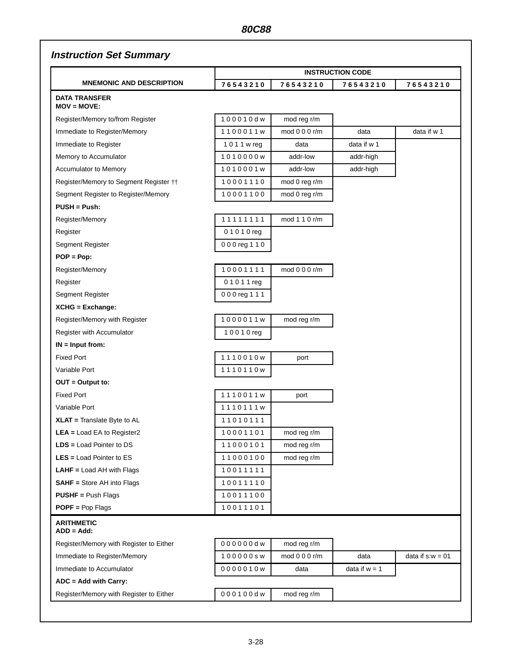# **Instruction Set Summary**

| <b>MNEMONIC AND DESCRIPTION</b><br>76543210<br>76543210<br>76543210<br>76543210<br><b>DATA TRANSFER</b><br>$MOV = MOVE:$<br>100010dw<br>Register/Memory to/from Register<br>mod reg r/m |
|-----------------------------------------------------------------------------------------------------------------------------------------------------------------------------------------|
|                                                                                                                                                                                         |
|                                                                                                                                                                                         |
|                                                                                                                                                                                         |
| 1100011w<br>data if w 1<br>Immediate to Register/Memory<br>mod 0 0 0 r/m<br>data                                                                                                        |
| Immediate to Register<br>1011wreg<br>data<br>data if w 1                                                                                                                                |
| 1010000w<br>Memory to Accumulator<br>addr-low<br>addr-high                                                                                                                              |
| Accumulator to Memory<br>1010001w<br>addr-low<br>addr-high                                                                                                                              |
| Register/Memory to Segment Register ##<br>10001110<br>mod 0 reg r/m                                                                                                                     |
| Segment Register to Register/Memory<br>10001100<br>mod 0 reg r/m                                                                                                                        |
| PUSH = Push:                                                                                                                                                                            |
| 11111111<br>mod 1 1 0 r/m<br>Register/Memory                                                                                                                                            |
| 01010reg<br>Register                                                                                                                                                                    |
| 000 reg 110<br>Segment Register                                                                                                                                                         |
| $POP = Pop:$                                                                                                                                                                            |
| 10001111<br>mod 0 0 0 r/m<br>Register/Memory                                                                                                                                            |
| 01011reg<br>Register                                                                                                                                                                    |
| 000 reg 111<br>Segment Register                                                                                                                                                         |
| $XCHG = Exchange$ :                                                                                                                                                                     |
| 1000011w<br>Register/Memory with Register<br>mod reg r/m                                                                                                                                |
| 10010reg<br>Register with Accumulator                                                                                                                                                   |
| $IN = Input from:$                                                                                                                                                                      |
| 1110010w<br><b>Fixed Port</b><br>port                                                                                                                                                   |
| Variable Port<br>1110110w                                                                                                                                                               |
| OUT = Output to:                                                                                                                                                                        |
| 1110011w<br><b>Fixed Port</b><br>port                                                                                                                                                   |
| 1110111w<br>Variable Port                                                                                                                                                               |
| 11010111<br>$XLAT = Translate Byte to AL$                                                                                                                                               |
| 10001101<br>$LEA =$ Load EA to Register2<br>mod reg r/m                                                                                                                                 |
| $LDS =$ Load Pointer to DS<br>11000101<br>mod reg r/m                                                                                                                                   |
| 11000100<br>mod reg r/m<br>$LES = Load$ Pointer to $ES$                                                                                                                                 |
| 10011111<br><b>LAHF</b> = Load AH with Flags                                                                                                                                            |
| 10011110<br><b>SAHF</b> = Store AH into Flags                                                                                                                                           |
| 10011100<br><b>PUSHF</b> = Push Flags                                                                                                                                                   |
| 10011101<br>$POPF = Pop Flags$                                                                                                                                                          |
| <b>ARITHMETIC</b><br>$ADD = Add:$                                                                                                                                                       |
| 000000dw<br>Register/Memory with Register to Either<br>mod reg r/m                                                                                                                      |
| Immediate to Register/Memory<br>data if $s:w = 01$<br>100000sw<br>mod 0 0 0 r/m<br>data                                                                                                 |
| Immediate to Accumulator<br>0000010w<br>data if $w = 1$<br>data                                                                                                                         |
| ADC = Add with Carry:                                                                                                                                                                   |
| 000100dw<br>Register/Memory with Register to Either<br>mod reg r/m                                                                                                                      |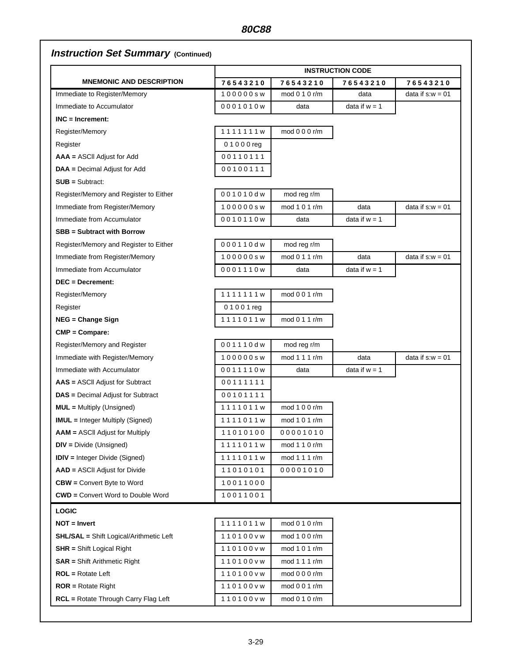|                                                | <b>INSTRUCTION CODE</b> |                 |                 |                    |  |  |
|------------------------------------------------|-------------------------|-----------------|-----------------|--------------------|--|--|
| <b>MNEMONIC AND DESCRIPTION</b>                | 76543210                | 76543210        | 76543210        | 76543210           |  |  |
| Immediate to Register/Memory                   | 100000sw                | mod 0 1 0 r/m   | data            | data if $s.w = 01$ |  |  |
| Immediate to Accumulator                       | 0001010w                | data            | data if $w = 1$ |                    |  |  |
| INC = Increment:                               |                         |                 |                 |                    |  |  |
| Register/Memory                                | 1111111w                | mod $0 0 0 r/m$ |                 |                    |  |  |
| Register                                       | 01000 reg               |                 |                 |                    |  |  |
| $AAA = ASCII$ Adjust for Add                   | 00110111                |                 |                 |                    |  |  |
| <b>DAA</b> = Decimal Adjust for Add            | 00100111                |                 |                 |                    |  |  |
| $SUB = Subtract:$                              |                         |                 |                 |                    |  |  |
| Register/Memory and Register to Either         | 001010dw                | mod reg r/m     |                 |                    |  |  |
| Immediate from Register/Memory                 | 100000sw                | mod 1 0 1 r/m   | data            | data if $s.w = 01$ |  |  |
| Immediate from Accumulator                     | 0010110w                | data            | data if $w = 1$ |                    |  |  |
| <b>SBB = Subtract with Borrow</b>              |                         |                 |                 |                    |  |  |
| Register/Memory and Register to Either         | 000110dw                | mod reg r/m     |                 |                    |  |  |
| Immediate from Register/Memory                 | 100000sw                | mod 0 1 1 r/m   | data            | data if $s.w = 01$ |  |  |
| Immediate from Accumulator                     | 0001110w                | data            | data if $w = 1$ |                    |  |  |
| <b>DEC = Decrement:</b>                        |                         |                 |                 |                    |  |  |
| Register/Memory                                | 1111111w                | mod 0 0 1 r/m   |                 |                    |  |  |
| Register                                       | 01001reg                |                 |                 |                    |  |  |
| <b>NEG = Change Sign</b>                       | 1111011w                | mod 0 1 1 r/m   |                 |                    |  |  |
| CMP = Compare:                                 |                         |                 |                 |                    |  |  |
| Register/Memory and Register                   | 001110dw                | mod reg r/m     |                 |                    |  |  |
| Immediate with Register/Memory                 | 100000sw                | mod 1 1 1 r/m   | data            | data if $s.w = 01$ |  |  |
| Immediate with Accumulator                     | 0011110w                | data            | data if $w = 1$ |                    |  |  |
| AAS = ASCII Adjust for Subtract                | 00111111                |                 |                 |                    |  |  |
| <b>DAS</b> = Decimal Adjust for Subtract       | 00101111                |                 |                 |                    |  |  |
| $MUL =$ Multiply (Unsigned)                    | 1111011w                | mod 1 0 0 r/m   |                 |                    |  |  |
| <b>IMUL</b> = Integer Multiply (Signed)        | 1111011w                | mod 1 0 1 r/m   |                 |                    |  |  |
| <b>AAM</b> = ASCII Adjust for Multiply         | 11010100                | 00001010        |                 |                    |  |  |
| <b>DIV</b> = Divide (Unsigned)                 | 1111011w                | mod 1 1 0 r/m   |                 |                    |  |  |
| <b>IDIV</b> = Integer Divide (Signed)          | 1111011w                | mod 1 1 1 r/m   |                 |                    |  |  |
| AAD = ASCII Adjust for Divide                  | 11010101                | 00001010        |                 |                    |  |  |
| <b>CBW</b> = Convert Byte to Word              | 10011000                |                 |                 |                    |  |  |
| <b>CWD</b> = Convert Word to Double Word       | 10011001                |                 |                 |                    |  |  |
| <b>LOGIC</b>                                   |                         |                 |                 |                    |  |  |
| $NOT = Invert$                                 | 1111011w                | mod 0 1 0 r/m   |                 |                    |  |  |
| <b>SHL/SAL</b> = Shift Logical/Arithmetic Left | 110100vw                | mod 1 0 0 r/m   |                 |                    |  |  |
| $SHR = Shift Logical Right$                    | 110100vw                | mod 1 0 1 r/m   |                 |                    |  |  |
| <b>SAR</b> = Shift Arithmetic Right            | 110100vw                | mod 1 1 1 r/m   |                 |                    |  |  |
| $ROL = Rotate Left$                            | 110100vw                | mod 0 0 0 r/m   |                 |                    |  |  |
| $ROR = Rotate Right$                           | 110100vw                | mod 0 0 1 r/m   |                 |                    |  |  |
| <b>RCL</b> = Rotate Through Carry Flag Left    | 110100vw                | mod 0 1 0 r/m   |                 |                    |  |  |
|                                                |                         |                 |                 |                    |  |  |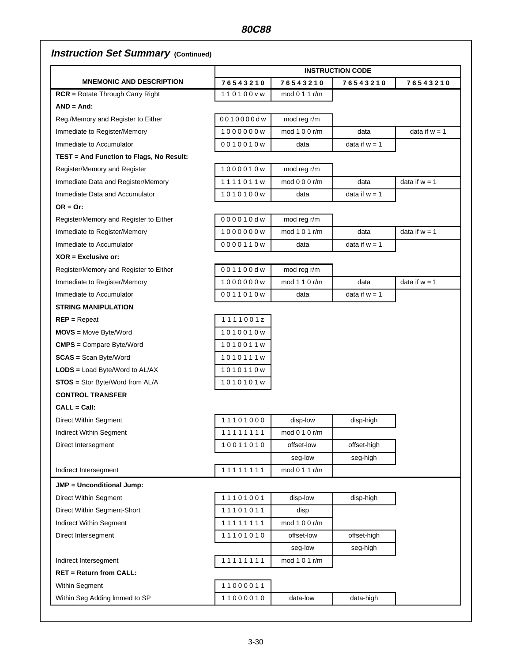| <b>MNEMONIC AND DESCRIPTION</b><br>76543210<br>76543210<br>76543210<br>76543210<br><b>RCR</b> = Rotate Through Carry Right<br>110100vw<br>mod $0 1 1 r/m$<br>$AND = And$ :<br>0010000dw<br>mod reg r/m<br>Reg./Memory and Register to Either<br>1000000w<br>mod 1 0 0 r/m<br>data if $w = 1$<br>Immediate to Register/Memory<br>data<br>Immediate to Accumulator<br>0010010w<br>data if $w = 1$<br>data<br>TEST = And Function to Flags, No Result:<br>1000010w<br>Register/Memory and Register<br>mod reg r/m<br>1111011w<br>mod 0 0 0 r/m<br>data if $w = 1$<br>Immediate Data and Register/Memory<br>data<br>Immediate Data and Accumulator<br>1010100w<br>data if $w = 1$<br>data<br>$OR = Or:$<br>000010dw<br>Register/Memory and Register to Either<br>mod reg r/m<br>1000000w<br>mod 1 0 1 r/m<br>data if $w = 1$<br>Immediate to Register/Memory<br>data<br>Immediate to Accumulator<br>0000110w<br>data if $w = 1$<br>data<br>$XOR = Exclusive or:$<br>001100dw<br>Register/Memory and Register to Either<br>mod reg r/m<br>1000000w<br>mod 1 1 0 r/m<br>data if $w = 1$<br>Immediate to Register/Memory<br>data<br>Immediate to Accumulator<br>0011010w<br>data if $w = 1$<br>data<br><b>STRING MANIPULATION</b><br>1111001z<br>$REF = Repeat$<br>1010010w<br><b>MOVS</b> = Move Byte/Word<br><b>CMPS</b> = Compare Byte/Word<br>1010011w<br>1010111w<br><b>SCAS</b> = Scan Byte/Word<br><b>LODS</b> = Load Byte/Word to AL/AX<br>1010110w<br>1010101w<br><b>STOS</b> = Stor Byte/Word from AL/A<br><b>CONTROL TRANSFER</b><br>$CALL = Call:$<br>11101000<br><b>Direct Within Segment</b><br>disp-low<br>disp-high<br>11111111<br>Indirect Within Segment<br>mod 0 1 0 r/m<br>10011010<br>Direct Intersegment<br>offset-low<br>offset-high<br>seg-high<br>seg-low<br>11111111<br>Indirect Intersegment<br>mod 0 1 1 r/m<br><b>JMP</b> = Unconditional Jump:<br><b>Direct Within Segment</b><br>11101001<br>disp-low<br>disp-high<br>Direct Within Segment-Short<br>11101011<br>disp<br>11111111<br>mod 1 0 0 r/m<br>Indirect Within Segment<br>11101010<br>Direct Intersegment<br>offset-low<br>offset-high<br>seg-high<br>seg-low<br>11111111<br>Indirect Intersegment<br>mod 1 0 1 r/m<br><b>RET = Return from CALL:</b><br>11000011<br>Within Segment |                               | <b>INSTRUCTION CODE</b> |  |  |  |  |  |
|--------------------------------------------------------------------------------------------------------------------------------------------------------------------------------------------------------------------------------------------------------------------------------------------------------------------------------------------------------------------------------------------------------------------------------------------------------------------------------------------------------------------------------------------------------------------------------------------------------------------------------------------------------------------------------------------------------------------------------------------------------------------------------------------------------------------------------------------------------------------------------------------------------------------------------------------------------------------------------------------------------------------------------------------------------------------------------------------------------------------------------------------------------------------------------------------------------------------------------------------------------------------------------------------------------------------------------------------------------------------------------------------------------------------------------------------------------------------------------------------------------------------------------------------------------------------------------------------------------------------------------------------------------------------------------------------------------------------------------------------------------------------------------------------------------------------------------------------------------------------------------------------------------------------------------------------------------------------------------------------------------------------------------------------------------------------------------------------------------------------------------------------------------------------------------------------------------------------------------------------------------------------|-------------------------------|-------------------------|--|--|--|--|--|
|                                                                                                                                                                                                                                                                                                                                                                                                                                                                                                                                                                                                                                                                                                                                                                                                                                                                                                                                                                                                                                                                                                                                                                                                                                                                                                                                                                                                                                                                                                                                                                                                                                                                                                                                                                                                                                                                                                                                                                                                                                                                                                                                                                                                                                                                    |                               |                         |  |  |  |  |  |
|                                                                                                                                                                                                                                                                                                                                                                                                                                                                                                                                                                                                                                                                                                                                                                                                                                                                                                                                                                                                                                                                                                                                                                                                                                                                                                                                                                                                                                                                                                                                                                                                                                                                                                                                                                                                                                                                                                                                                                                                                                                                                                                                                                                                                                                                    |                               |                         |  |  |  |  |  |
|                                                                                                                                                                                                                                                                                                                                                                                                                                                                                                                                                                                                                                                                                                                                                                                                                                                                                                                                                                                                                                                                                                                                                                                                                                                                                                                                                                                                                                                                                                                                                                                                                                                                                                                                                                                                                                                                                                                                                                                                                                                                                                                                                                                                                                                                    |                               |                         |  |  |  |  |  |
|                                                                                                                                                                                                                                                                                                                                                                                                                                                                                                                                                                                                                                                                                                                                                                                                                                                                                                                                                                                                                                                                                                                                                                                                                                                                                                                                                                                                                                                                                                                                                                                                                                                                                                                                                                                                                                                                                                                                                                                                                                                                                                                                                                                                                                                                    |                               |                         |  |  |  |  |  |
|                                                                                                                                                                                                                                                                                                                                                                                                                                                                                                                                                                                                                                                                                                                                                                                                                                                                                                                                                                                                                                                                                                                                                                                                                                                                                                                                                                                                                                                                                                                                                                                                                                                                                                                                                                                                                                                                                                                                                                                                                                                                                                                                                                                                                                                                    |                               |                         |  |  |  |  |  |
|                                                                                                                                                                                                                                                                                                                                                                                                                                                                                                                                                                                                                                                                                                                                                                                                                                                                                                                                                                                                                                                                                                                                                                                                                                                                                                                                                                                                                                                                                                                                                                                                                                                                                                                                                                                                                                                                                                                                                                                                                                                                                                                                                                                                                                                                    |                               |                         |  |  |  |  |  |
|                                                                                                                                                                                                                                                                                                                                                                                                                                                                                                                                                                                                                                                                                                                                                                                                                                                                                                                                                                                                                                                                                                                                                                                                                                                                                                                                                                                                                                                                                                                                                                                                                                                                                                                                                                                                                                                                                                                                                                                                                                                                                                                                                                                                                                                                    |                               |                         |  |  |  |  |  |
|                                                                                                                                                                                                                                                                                                                                                                                                                                                                                                                                                                                                                                                                                                                                                                                                                                                                                                                                                                                                                                                                                                                                                                                                                                                                                                                                                                                                                                                                                                                                                                                                                                                                                                                                                                                                                                                                                                                                                                                                                                                                                                                                                                                                                                                                    |                               |                         |  |  |  |  |  |
|                                                                                                                                                                                                                                                                                                                                                                                                                                                                                                                                                                                                                                                                                                                                                                                                                                                                                                                                                                                                                                                                                                                                                                                                                                                                                                                                                                                                                                                                                                                                                                                                                                                                                                                                                                                                                                                                                                                                                                                                                                                                                                                                                                                                                                                                    |                               |                         |  |  |  |  |  |
|                                                                                                                                                                                                                                                                                                                                                                                                                                                                                                                                                                                                                                                                                                                                                                                                                                                                                                                                                                                                                                                                                                                                                                                                                                                                                                                                                                                                                                                                                                                                                                                                                                                                                                                                                                                                                                                                                                                                                                                                                                                                                                                                                                                                                                                                    |                               |                         |  |  |  |  |  |
|                                                                                                                                                                                                                                                                                                                                                                                                                                                                                                                                                                                                                                                                                                                                                                                                                                                                                                                                                                                                                                                                                                                                                                                                                                                                                                                                                                                                                                                                                                                                                                                                                                                                                                                                                                                                                                                                                                                                                                                                                                                                                                                                                                                                                                                                    |                               |                         |  |  |  |  |  |
|                                                                                                                                                                                                                                                                                                                                                                                                                                                                                                                                                                                                                                                                                                                                                                                                                                                                                                                                                                                                                                                                                                                                                                                                                                                                                                                                                                                                                                                                                                                                                                                                                                                                                                                                                                                                                                                                                                                                                                                                                                                                                                                                                                                                                                                                    |                               |                         |  |  |  |  |  |
|                                                                                                                                                                                                                                                                                                                                                                                                                                                                                                                                                                                                                                                                                                                                                                                                                                                                                                                                                                                                                                                                                                                                                                                                                                                                                                                                                                                                                                                                                                                                                                                                                                                                                                                                                                                                                                                                                                                                                                                                                                                                                                                                                                                                                                                                    |                               |                         |  |  |  |  |  |
|                                                                                                                                                                                                                                                                                                                                                                                                                                                                                                                                                                                                                                                                                                                                                                                                                                                                                                                                                                                                                                                                                                                                                                                                                                                                                                                                                                                                                                                                                                                                                                                                                                                                                                                                                                                                                                                                                                                                                                                                                                                                                                                                                                                                                                                                    |                               |                         |  |  |  |  |  |
|                                                                                                                                                                                                                                                                                                                                                                                                                                                                                                                                                                                                                                                                                                                                                                                                                                                                                                                                                                                                                                                                                                                                                                                                                                                                                                                                                                                                                                                                                                                                                                                                                                                                                                                                                                                                                                                                                                                                                                                                                                                                                                                                                                                                                                                                    |                               |                         |  |  |  |  |  |
|                                                                                                                                                                                                                                                                                                                                                                                                                                                                                                                                                                                                                                                                                                                                                                                                                                                                                                                                                                                                                                                                                                                                                                                                                                                                                                                                                                                                                                                                                                                                                                                                                                                                                                                                                                                                                                                                                                                                                                                                                                                                                                                                                                                                                                                                    |                               |                         |  |  |  |  |  |
|                                                                                                                                                                                                                                                                                                                                                                                                                                                                                                                                                                                                                                                                                                                                                                                                                                                                                                                                                                                                                                                                                                                                                                                                                                                                                                                                                                                                                                                                                                                                                                                                                                                                                                                                                                                                                                                                                                                                                                                                                                                                                                                                                                                                                                                                    |                               |                         |  |  |  |  |  |
|                                                                                                                                                                                                                                                                                                                                                                                                                                                                                                                                                                                                                                                                                                                                                                                                                                                                                                                                                                                                                                                                                                                                                                                                                                                                                                                                                                                                                                                                                                                                                                                                                                                                                                                                                                                                                                                                                                                                                                                                                                                                                                                                                                                                                                                                    |                               |                         |  |  |  |  |  |
|                                                                                                                                                                                                                                                                                                                                                                                                                                                                                                                                                                                                                                                                                                                                                                                                                                                                                                                                                                                                                                                                                                                                                                                                                                                                                                                                                                                                                                                                                                                                                                                                                                                                                                                                                                                                                                                                                                                                                                                                                                                                                                                                                                                                                                                                    |                               |                         |  |  |  |  |  |
|                                                                                                                                                                                                                                                                                                                                                                                                                                                                                                                                                                                                                                                                                                                                                                                                                                                                                                                                                                                                                                                                                                                                                                                                                                                                                                                                                                                                                                                                                                                                                                                                                                                                                                                                                                                                                                                                                                                                                                                                                                                                                                                                                                                                                                                                    |                               |                         |  |  |  |  |  |
|                                                                                                                                                                                                                                                                                                                                                                                                                                                                                                                                                                                                                                                                                                                                                                                                                                                                                                                                                                                                                                                                                                                                                                                                                                                                                                                                                                                                                                                                                                                                                                                                                                                                                                                                                                                                                                                                                                                                                                                                                                                                                                                                                                                                                                                                    |                               |                         |  |  |  |  |  |
|                                                                                                                                                                                                                                                                                                                                                                                                                                                                                                                                                                                                                                                                                                                                                                                                                                                                                                                                                                                                                                                                                                                                                                                                                                                                                                                                                                                                                                                                                                                                                                                                                                                                                                                                                                                                                                                                                                                                                                                                                                                                                                                                                                                                                                                                    |                               |                         |  |  |  |  |  |
|                                                                                                                                                                                                                                                                                                                                                                                                                                                                                                                                                                                                                                                                                                                                                                                                                                                                                                                                                                                                                                                                                                                                                                                                                                                                                                                                                                                                                                                                                                                                                                                                                                                                                                                                                                                                                                                                                                                                                                                                                                                                                                                                                                                                                                                                    |                               |                         |  |  |  |  |  |
|                                                                                                                                                                                                                                                                                                                                                                                                                                                                                                                                                                                                                                                                                                                                                                                                                                                                                                                                                                                                                                                                                                                                                                                                                                                                                                                                                                                                                                                                                                                                                                                                                                                                                                                                                                                                                                                                                                                                                                                                                                                                                                                                                                                                                                                                    |                               |                         |  |  |  |  |  |
|                                                                                                                                                                                                                                                                                                                                                                                                                                                                                                                                                                                                                                                                                                                                                                                                                                                                                                                                                                                                                                                                                                                                                                                                                                                                                                                                                                                                                                                                                                                                                                                                                                                                                                                                                                                                                                                                                                                                                                                                                                                                                                                                                                                                                                                                    |                               |                         |  |  |  |  |  |
|                                                                                                                                                                                                                                                                                                                                                                                                                                                                                                                                                                                                                                                                                                                                                                                                                                                                                                                                                                                                                                                                                                                                                                                                                                                                                                                                                                                                                                                                                                                                                                                                                                                                                                                                                                                                                                                                                                                                                                                                                                                                                                                                                                                                                                                                    |                               |                         |  |  |  |  |  |
|                                                                                                                                                                                                                                                                                                                                                                                                                                                                                                                                                                                                                                                                                                                                                                                                                                                                                                                                                                                                                                                                                                                                                                                                                                                                                                                                                                                                                                                                                                                                                                                                                                                                                                                                                                                                                                                                                                                                                                                                                                                                                                                                                                                                                                                                    |                               |                         |  |  |  |  |  |
|                                                                                                                                                                                                                                                                                                                                                                                                                                                                                                                                                                                                                                                                                                                                                                                                                                                                                                                                                                                                                                                                                                                                                                                                                                                                                                                                                                                                                                                                                                                                                                                                                                                                                                                                                                                                                                                                                                                                                                                                                                                                                                                                                                                                                                                                    |                               |                         |  |  |  |  |  |
|                                                                                                                                                                                                                                                                                                                                                                                                                                                                                                                                                                                                                                                                                                                                                                                                                                                                                                                                                                                                                                                                                                                                                                                                                                                                                                                                                                                                                                                                                                                                                                                                                                                                                                                                                                                                                                                                                                                                                                                                                                                                                                                                                                                                                                                                    |                               |                         |  |  |  |  |  |
|                                                                                                                                                                                                                                                                                                                                                                                                                                                                                                                                                                                                                                                                                                                                                                                                                                                                                                                                                                                                                                                                                                                                                                                                                                                                                                                                                                                                                                                                                                                                                                                                                                                                                                                                                                                                                                                                                                                                                                                                                                                                                                                                                                                                                                                                    |                               |                         |  |  |  |  |  |
|                                                                                                                                                                                                                                                                                                                                                                                                                                                                                                                                                                                                                                                                                                                                                                                                                                                                                                                                                                                                                                                                                                                                                                                                                                                                                                                                                                                                                                                                                                                                                                                                                                                                                                                                                                                                                                                                                                                                                                                                                                                                                                                                                                                                                                                                    |                               |                         |  |  |  |  |  |
|                                                                                                                                                                                                                                                                                                                                                                                                                                                                                                                                                                                                                                                                                                                                                                                                                                                                                                                                                                                                                                                                                                                                                                                                                                                                                                                                                                                                                                                                                                                                                                                                                                                                                                                                                                                                                                                                                                                                                                                                                                                                                                                                                                                                                                                                    |                               |                         |  |  |  |  |  |
|                                                                                                                                                                                                                                                                                                                                                                                                                                                                                                                                                                                                                                                                                                                                                                                                                                                                                                                                                                                                                                                                                                                                                                                                                                                                                                                                                                                                                                                                                                                                                                                                                                                                                                                                                                                                                                                                                                                                                                                                                                                                                                                                                                                                                                                                    |                               |                         |  |  |  |  |  |
|                                                                                                                                                                                                                                                                                                                                                                                                                                                                                                                                                                                                                                                                                                                                                                                                                                                                                                                                                                                                                                                                                                                                                                                                                                                                                                                                                                                                                                                                                                                                                                                                                                                                                                                                                                                                                                                                                                                                                                                                                                                                                                                                                                                                                                                                    |                               |                         |  |  |  |  |  |
|                                                                                                                                                                                                                                                                                                                                                                                                                                                                                                                                                                                                                                                                                                                                                                                                                                                                                                                                                                                                                                                                                                                                                                                                                                                                                                                                                                                                                                                                                                                                                                                                                                                                                                                                                                                                                                                                                                                                                                                                                                                                                                                                                                                                                                                                    |                               |                         |  |  |  |  |  |
|                                                                                                                                                                                                                                                                                                                                                                                                                                                                                                                                                                                                                                                                                                                                                                                                                                                                                                                                                                                                                                                                                                                                                                                                                                                                                                                                                                                                                                                                                                                                                                                                                                                                                                                                                                                                                                                                                                                                                                                                                                                                                                                                                                                                                                                                    |                               |                         |  |  |  |  |  |
|                                                                                                                                                                                                                                                                                                                                                                                                                                                                                                                                                                                                                                                                                                                                                                                                                                                                                                                                                                                                                                                                                                                                                                                                                                                                                                                                                                                                                                                                                                                                                                                                                                                                                                                                                                                                                                                                                                                                                                                                                                                                                                                                                                                                                                                                    |                               |                         |  |  |  |  |  |
|                                                                                                                                                                                                                                                                                                                                                                                                                                                                                                                                                                                                                                                                                                                                                                                                                                                                                                                                                                                                                                                                                                                                                                                                                                                                                                                                                                                                                                                                                                                                                                                                                                                                                                                                                                                                                                                                                                                                                                                                                                                                                                                                                                                                                                                                    |                               |                         |  |  |  |  |  |
|                                                                                                                                                                                                                                                                                                                                                                                                                                                                                                                                                                                                                                                                                                                                                                                                                                                                                                                                                                                                                                                                                                                                                                                                                                                                                                                                                                                                                                                                                                                                                                                                                                                                                                                                                                                                                                                                                                                                                                                                                                                                                                                                                                                                                                                                    |                               |                         |  |  |  |  |  |
|                                                                                                                                                                                                                                                                                                                                                                                                                                                                                                                                                                                                                                                                                                                                                                                                                                                                                                                                                                                                                                                                                                                                                                                                                                                                                                                                                                                                                                                                                                                                                                                                                                                                                                                                                                                                                                                                                                                                                                                                                                                                                                                                                                                                                                                                    |                               |                         |  |  |  |  |  |
|                                                                                                                                                                                                                                                                                                                                                                                                                                                                                                                                                                                                                                                                                                                                                                                                                                                                                                                                                                                                                                                                                                                                                                                                                                                                                                                                                                                                                                                                                                                                                                                                                                                                                                                                                                                                                                                                                                                                                                                                                                                                                                                                                                                                                                                                    |                               |                         |  |  |  |  |  |
| data-low<br>data-high                                                                                                                                                                                                                                                                                                                                                                                                                                                                                                                                                                                                                                                                                                                                                                                                                                                                                                                                                                                                                                                                                                                                                                                                                                                                                                                                                                                                                                                                                                                                                                                                                                                                                                                                                                                                                                                                                                                                                                                                                                                                                                                                                                                                                                              | Within Seg Adding Immed to SP | 11000010                |  |  |  |  |  |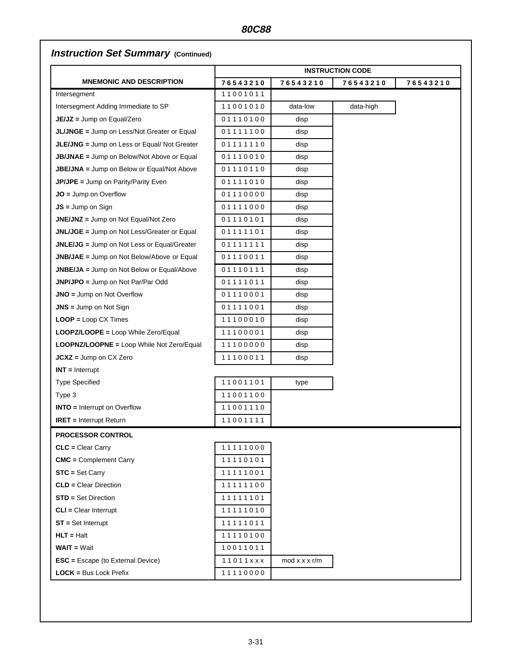|                                                     | <b>INSTRUCTION CODE</b> |               |           |          |  |  |  |
|-----------------------------------------------------|-------------------------|---------------|-----------|----------|--|--|--|
| <b>MNEMONIC AND DESCRIPTION</b>                     | 76543210                | 76543210      | 76543210  | 76543210 |  |  |  |
| Intersegment                                        | 11001011                |               |           |          |  |  |  |
| Intersegment Adding Immediate to SP                 | 11001010                | data-low      | data-high |          |  |  |  |
| $JE/JZ = Jump$ on Equal/Zero                        | 01110100                | disp          |           |          |  |  |  |
| <b>JL/JNGE</b> = Jump on Less/Not Greater or Equal  | 01111100                | disp          |           |          |  |  |  |
| <b>JLE/JNG = Jump on Less or Equal/ Not Greater</b> | 01111110                | disp          |           |          |  |  |  |
| <b>JB/JNAE</b> = Jump on Below/Not Above or Equal   | 01110010                | disp          |           |          |  |  |  |
| <b>JBE/JNA</b> = Jump on Below or Equal/Not Above   | 01110110                | disp          |           |          |  |  |  |
| <b>JP/JPE</b> = Jump on Parity/Parity Even          | 01111010                | disp          |           |          |  |  |  |
| $JO =$ Jump on Overflow                             | 01110000                | disp          |           |          |  |  |  |
| $JS = Jump$ on Sign                                 | 01111000                | disp          |           |          |  |  |  |
| <b>JNE/JNZ</b> = Jump on Not Equal/Not Zero         | 01110101                | disp          |           |          |  |  |  |
| <b>JNL/JGE</b> = Jump on Not Less/Greater or Equal  | 01111101                | disp          |           |          |  |  |  |
| <b>JNLE/JG</b> = Jump on Not Less or Equal/Greater  | 01111111                | disp          |           |          |  |  |  |
| <b>JNB/JAE</b> = Jump on Not Below/Above or Equal   | 01110011                | disp          |           |          |  |  |  |
| <b>JNBE/JA</b> = Jump on Not Below or Equal/Above   | 01110111                | disp          |           |          |  |  |  |
| <b>JNP/JPO</b> = Jump on Not Par/Par Odd            | 01111011                | disp          |           |          |  |  |  |
| $JNO =$ Jump on Not Overflow                        | 01110001                | disp          |           |          |  |  |  |
| $JNS =$ Jump on Not Sign                            | 01111001                | disp          |           |          |  |  |  |
| LOOP = Loop CX Times                                | 11100010                | disp          |           |          |  |  |  |
| LOOPZ/LOOPE = Loop While Zero/Equal                 | 11100001                | disp          |           |          |  |  |  |
| LOOPNZ/LOOPNE = Loop While Not Zero/Equal           | 11100000                | disp          |           |          |  |  |  |
| $JCXZ = Jump$ on $CX$ Zero                          | 11100011                | disp          |           |          |  |  |  |
| $INT = Internet$                                    |                         |               |           |          |  |  |  |
| <b>Type Specified</b>                               | 11001101                | type          |           |          |  |  |  |
| Type 3                                              | 11001100                |               |           |          |  |  |  |
| <b>INTO</b> = Interrupt on Overflow                 | 11001110                |               |           |          |  |  |  |
| <b>IRET</b> = Interrupt Return                      | 11001111                |               |           |          |  |  |  |
| <b>PROCESSOR CONTROL</b>                            |                         |               |           |          |  |  |  |
| $CLC = Clear Carry$                                 | 11111000                |               |           |          |  |  |  |
| <b>CMC</b> = Complement Carry                       | 11110101                |               |           |          |  |  |  |
| $STC = Set Carry$                                   | 11111001                |               |           |          |  |  |  |
| <b>CLD</b> = Clear Direction                        | 11111100                |               |           |          |  |  |  |
| <b>STD</b> = Set Direction                          | 11111101                |               |           |          |  |  |  |
| $CLI = Clear$ Interrupt                             | 11111010                |               |           |          |  |  |  |
| $ST = Set$ Interrupt                                | 11111011                |               |           |          |  |  |  |
| $HLT = Halt$                                        | 11110100                |               |           |          |  |  |  |
| <b>WAIT = Wait</b>                                  | 10011011                |               |           |          |  |  |  |
| <b>ESC</b> = Escape (to External Device)            | 11011xxx                | mod x x x r/m |           |          |  |  |  |
| <b>LOCK = Bus Lock Prefix</b>                       | 11110000                |               |           |          |  |  |  |